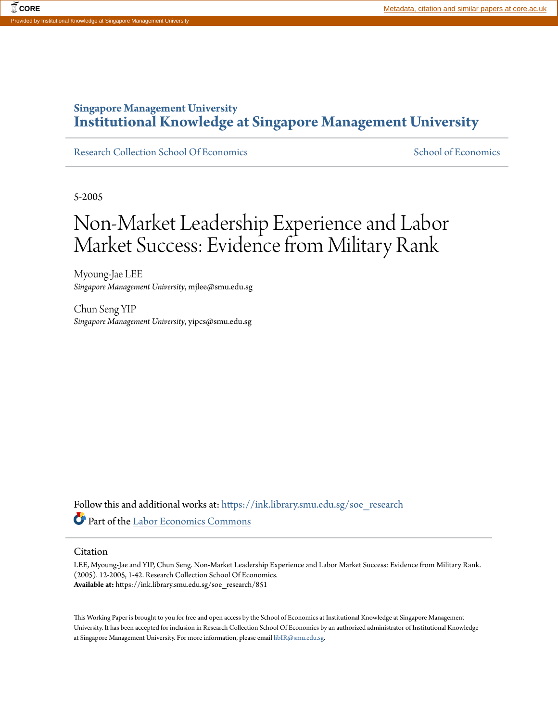# **Singapore Management University [Institutional Knowledge at Singapore Management University](https://ink.library.smu.edu.sg/?utm_source=ink.library.smu.edu.sg%2Fsoe_research%2F851&utm_medium=PDF&utm_campaign=PDFCoverPages)**

[Research Collection School Of Economics](https://ink.library.smu.edu.sg/soe_research?utm_source=ink.library.smu.edu.sg%2Fsoe_research%2F851&utm_medium=PDF&utm_campaign=PDFCoverPages) [School of Economics](https://ink.library.smu.edu.sg/soe?utm_source=ink.library.smu.edu.sg%2Fsoe_research%2F851&utm_medium=PDF&utm_campaign=PDFCoverPages) School of Economics

5-2005

# Non-Market Leadership Experience and Labor Market Success: Evidence from Military Rank

Myoung-Jae LEE *Singapore Management University*, mjlee@smu.edu.sg

Chun Seng YIP *Singapore Management University*, yipcs@smu.edu.sg

Follow this and additional works at: [https://ink.library.smu.edu.sg/soe\\_research](https://ink.library.smu.edu.sg/soe_research?utm_source=ink.library.smu.edu.sg%2Fsoe_research%2F851&utm_medium=PDF&utm_campaign=PDFCoverPages) Part of the [Labor Economics Commons](http://network.bepress.com/hgg/discipline/349?utm_source=ink.library.smu.edu.sg%2Fsoe_research%2F851&utm_medium=PDF&utm_campaign=PDFCoverPages)

#### Citation

LEE, Myoung-Jae and YIP, Chun Seng. Non-Market Leadership Experience and Labor Market Success: Evidence from Military Rank. (2005). 12-2005, 1-42. Research Collection School Of Economics. **Available at:** https://ink.library.smu.edu.sg/soe\_research/851

This Working Paper is brought to you for free and open access by the School of Economics at Institutional Knowledge at Singapore Management University. It has been accepted for inclusion in Research Collection School Of Economics by an authorized administrator of Institutional Knowledge at Singapore Management University. For more information, please email [libIR@smu.edu.sg.](mailto:libIR@smu.edu.sg)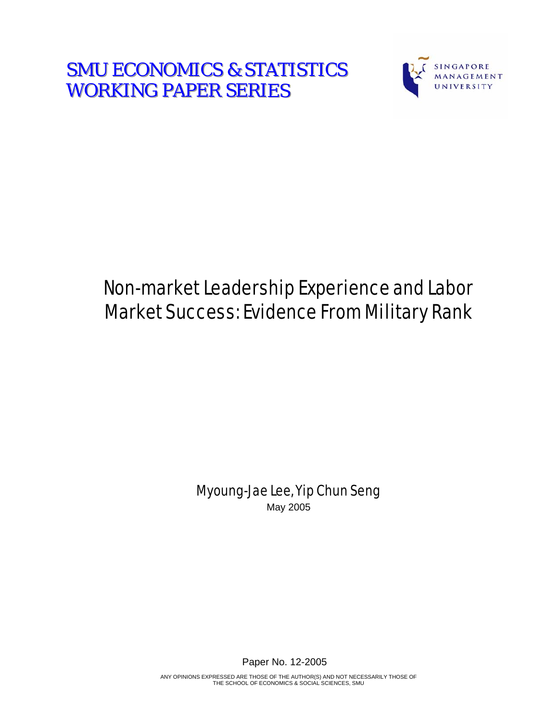**SMU ECONOMICS & STATISTICS WORKING PAPER SERIES** 



# Non-market Leadership Experience and Labor Market Success: Evidence From Military Rank

Myoung-Jae Lee, Yip Chun Seng May 2005

Paper No. 12-2005

ANY OPINIONS EXPRESSED ARE THOSE OF THE AUTHOR(S) AND NOT NECESSARILY THOSE OF THE SCHOOL OF ECONOMICS & SOCIAL SCIENCES, SMU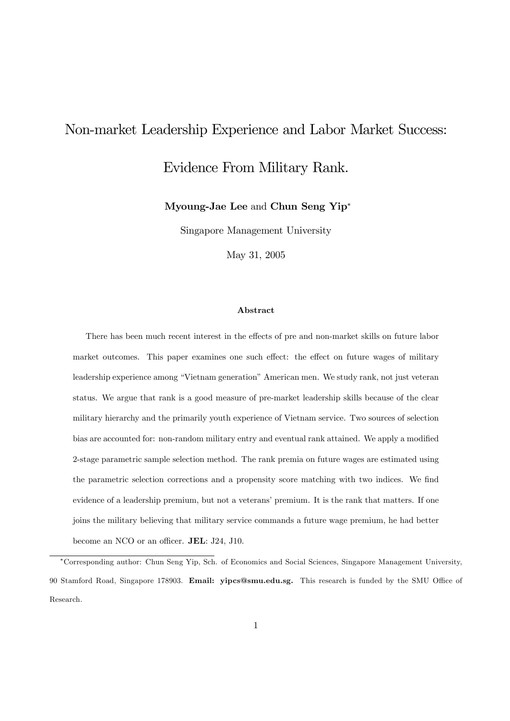# Non-market Leadership Experience and Labor Market Success:

# Evidence From Military Rank.

Myoung-Jae Lee and Chun Seng Yip

Singapore Management University

May 31, 2005

#### Abstract

There has been much recent interest in the effects of pre and non-market skills on future labor market outcomes. This paper examines one such effect: the effect on future wages of military leadership experience among "Vietnam generation" American men. We study rank, not just veteran status. We argue that rank is a good measure of pre-market leadership skills because of the clear military hierarchy and the primarily youth experience of Vietnam service. Two sources of selection bias are accounted for: non-random military entry and eventual rank attained. We apply a modified 2-stage parametric sample selection method. The rank premia on future wages are estimated using the parametric selection corrections and a propensity score matching with two indices. We find evidence of a leadership premium, but not a veterans' premium. It is the rank that matters. If one joins the military believing that military service commands a future wage premium, he had better become an NCO or an officer. JEL: J24, J10.

Corresponding author: Chun Seng Yip, Sch. of Economics and Social Sciences, Singapore Management University, 90 Stamford Road, Singapore 178903. Email: yipcs@smu.edu.sg. This research is funded by the SMU Office of Research.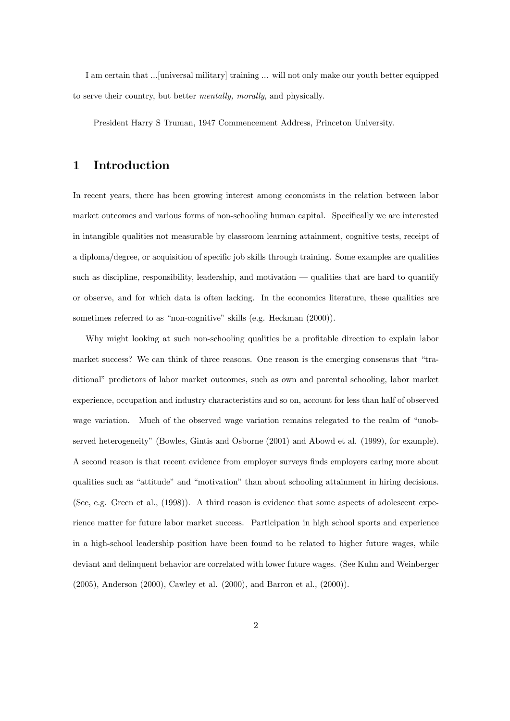I am certain that ...[universal military] training ... will not only make our youth better equipped to serve their country, but better mentally, morally, and physically.

President Harry S Truman, 1947 Commencement Address, Princeton University.

# 1 Introduction

In recent years, there has been growing interest among economists in the relation between labor market outcomes and various forms of non-schooling human capital. Specifically we are interested in intangible qualities not measurable by classroom learning attainment, cognitive tests, receipt of a diploma/degree, or acquisition of specific job skills through training. Some examples are qualities such as discipline, responsibility, leadership, and motivation  $-$  qualities that are hard to quantify or observe, and for which data is often lacking. In the economics literature, these qualities are sometimes referred to as "non-cognitive" skills (e.g. Heckman (2000)).

Why might looking at such non-schooling qualities be a profitable direction to explain labor market success? We can think of three reasons. One reason is the emerging consensus that "traditional" predictors of labor market outcomes, such as own and parental schooling, labor market experience, occupation and industry characteristics and so on, account for less than half of observed wage variation. Much of the observed wage variation remains relegated to the realm of "unobserved heterogeneity" (Bowles, Gintis and Osborne (2001) and Abowd et al. (1999), for example). A second reason is that recent evidence from employer surveys finds employers caring more about qualities such as "attitude" and "motivation" than about schooling attainment in hiring decisions. (See, e.g. Green et al., (1998)). A third reason is evidence that some aspects of adolescent experience matter for future labor market success. Participation in high school sports and experience in a high-school leadership position have been found to be related to higher future wages, while deviant and delinquent behavior are correlated with lower future wages. (See Kuhn and Weinberger (2005), Anderson (2000), Cawley et al. (2000), and Barron et al., (2000)).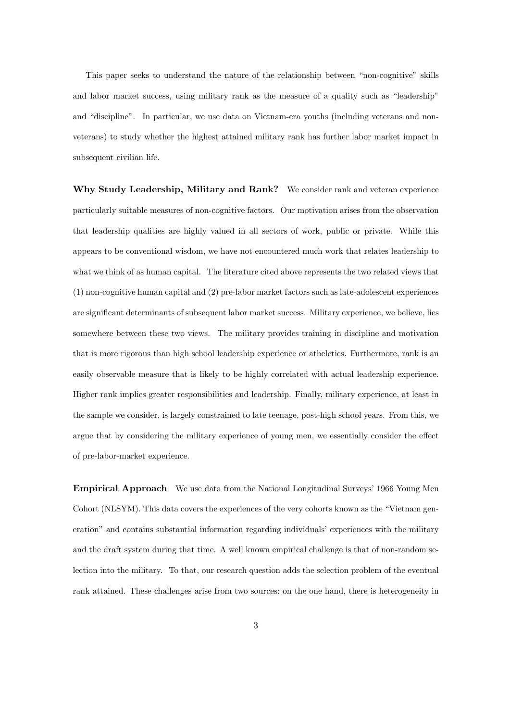This paper seeks to understand the nature of the relationship between "non-cognitive" skills and labor market success, using military rank as the measure of a quality such as "leadership" and "discipline". In particular, we use data on Vietnam-era youths (including veterans and nonveterans) to study whether the highest attained military rank has further labor market impact in subsequent civilian life.

Why Study Leadership, Military and Rank? We consider rank and veteran experience particularly suitable measures of non-cognitive factors. Our motivation arises from the observation that leadership qualities are highly valued in all sectors of work, public or private. While this appears to be conventional wisdom, we have not encountered much work that relates leadership to what we think of as human capital. The literature cited above represents the two related views that (1) non-cognitive human capital and (2) pre-labor market factors such as late-adolescent experiences are significant determinants of subsequent labor market success. Military experience, we believe, lies somewhere between these two views. The military provides training in discipline and motivation that is more rigorous than high school leadership experience or atheletics. Furthermore, rank is an easily observable measure that is likely to be highly correlated with actual leadership experience. Higher rank implies greater responsibilities and leadership. Finally, military experience, at least in the sample we consider, is largely constrained to late teenage, post-high school years. From this, we argue that by considering the military experience of young men, we essentially consider the effect of pre-labor-market experience.

**Empirical Approach** We use data from the National Longitudinal Surveys' 1966 Young Men Cohort (NLSYM). This data covers the experiences of the very cohorts known as the "Vietnam generation" and contains substantial information regarding individuals' experiences with the military and the draft system during that time. A well known empirical challenge is that of non-random selection into the military. To that, our research question adds the selection problem of the eventual rank attained. These challenges arise from two sources: on the one hand, there is heterogeneity in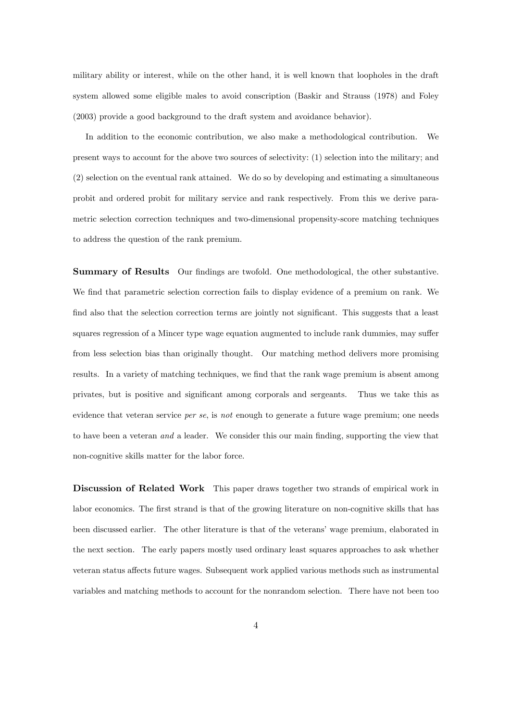military ability or interest, while on the other hand, it is well known that loopholes in the draft system allowed some eligible males to avoid conscription (Baskir and Strauss (1978) and Foley (2003) provide a good background to the draft system and avoidance behavior).

In addition to the economic contribution, we also make a methodological contribution. We present ways to account for the above two sources of selectivity: (1) selection into the military; and (2) selection on the eventual rank attained. We do so by developing and estimating a simultaneous probit and ordered probit for military service and rank respectively. From this we derive parametric selection correction techniques and two-dimensional propensity-score matching techniques to address the question of the rank premium.

Summary of Results Our findings are twofold. One methodological, the other substantive. We find that parametric selection correction fails to display evidence of a premium on rank. We find also that the selection correction terms are jointly not significant. This suggests that a least squares regression of a Mincer type wage equation augmented to include rank dummies, may suffer from less selection bias than originally thought. Our matching method delivers more promising results. In a variety of matching techniques, we find that the rank wage premium is absent among privates, but is positive and signiÖcant among corporals and sergeants. Thus we take this as evidence that veteran service *per se*, is not enough to generate a future wage premium; one needs to have been a veteran and a leader. We consider this our main finding, supporting the view that non-cognitive skills matter for the labor force.

Discussion of Related Work This paper draws together two strands of empirical work in labor economics. The first strand is that of the growing literature on non-cognitive skills that has been discussed earlier. The other literature is that of the veterans' wage premium, elaborated in the next section. The early papers mostly used ordinary least squares approaches to ask whether veteran status affects future wages. Subsequent work applied various methods such as instrumental variables and matching methods to account for the nonrandom selection. There have not been too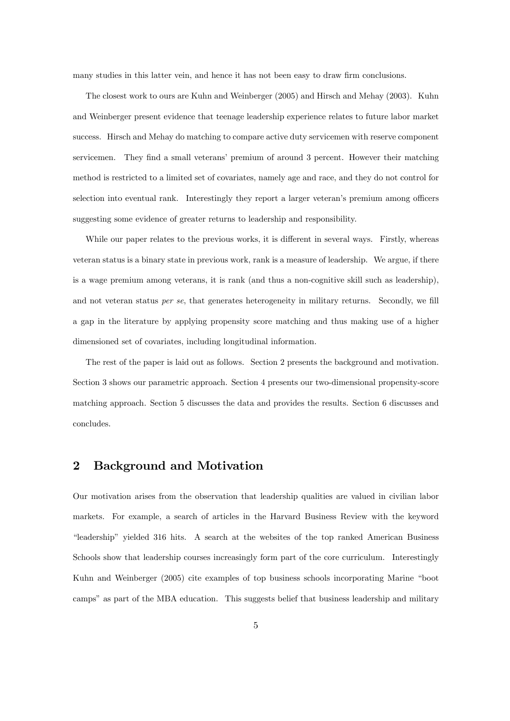many studies in this latter vein, and hence it has not been easy to draw firm conclusions.

The closest work to ours are Kuhn and Weinberger (2005) and Hirsch and Mehay (2003). Kuhn and Weinberger present evidence that teenage leadership experience relates to future labor market success. Hirsch and Mehay do matching to compare active duty servicemen with reserve component servicemen. They find a small veterans' premium of around 3 percent. However their matching method is restricted to a limited set of covariates, namely age and race, and they do not control for selection into eventual rank. Interestingly they report a larger veteran's premium among officers suggesting some evidence of greater returns to leadership and responsibility.

While our paper relates to the previous works, it is different in several ways. Firstly, whereas veteran status is a binary state in previous work, rank is a measure of leadership. We argue, if there is a wage premium among veterans, it is rank (and thus a non-cognitive skill such as leadership), and not veteran status *per se*, that generates heterogeneity in military returns. Secondly, we fill a gap in the literature by applying propensity score matching and thus making use of a higher dimensioned set of covariates, including longitudinal information.

The rest of the paper is laid out as follows. Section 2 presents the background and motivation. Section 3 shows our parametric approach. Section 4 presents our two-dimensional propensity-score matching approach. Section 5 discusses the data and provides the results. Section 6 discusses and concludes.

## 2 Background and Motivation

Our motivation arises from the observation that leadership qualities are valued in civilian labor markets. For example, a search of articles in the Harvard Business Review with the keyword ìleadershipî yielded 316 hits. A search at the websites of the top ranked American Business Schools show that leadership courses increasingly form part of the core curriculum. Interestingly Kuhn and Weinberger (2005) cite examples of top business schools incorporating Marine "boot campsî as part of the MBA education. This suggests belief that business leadership and military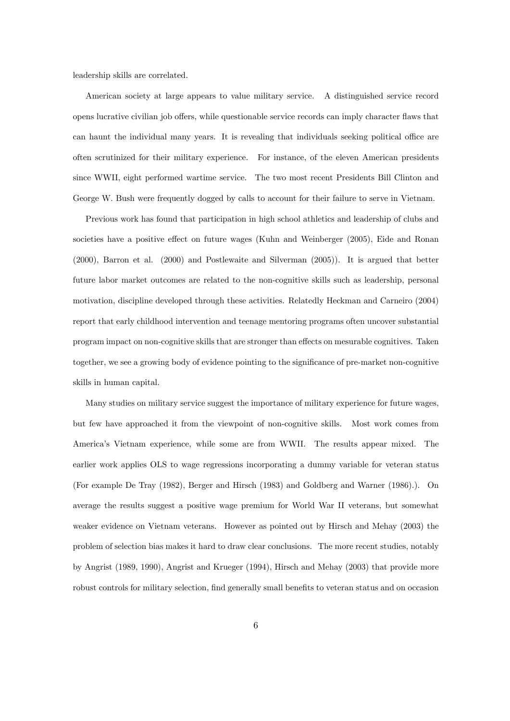leadership skills are correlated.

American society at large appears to value military service. A distinguished service record opens lucrative civilian job offers, while questionable service records can imply character flaws that can haunt the individual many years. It is revealing that individuals seeking political office are often scrutinized for their military experience. For instance, of the eleven American presidents since WWII, eight performed wartime service. The two most recent Presidents Bill Clinton and George W. Bush were frequently dogged by calls to account for their failure to serve in Vietnam.

Previous work has found that participation in high school athletics and leadership of clubs and societies have a positive effect on future wages (Kuhn and Weinberger (2005), Eide and Ronan (2000), Barron et al. (2000) and Postlewaite and Silverman (2005)). It is argued that better future labor market outcomes are related to the non-cognitive skills such as leadership, personal motivation, discipline developed through these activities. Relatedly Heckman and Carneiro (2004) report that early childhood intervention and teenage mentoring programs often uncover substantial program impact on non-cognitive skills that are stronger than effects on mesurable cognitives. Taken together, we see a growing body of evidence pointing to the significance of pre-market non-cognitive skills in human capital.

Many studies on military service suggest the importance of military experience for future wages, but few have approached it from the viewpoint of non-cognitive skills. Most work comes from Americaís Vietnam experience, while some are from WWII. The results appear mixed. The earlier work applies OLS to wage regressions incorporating a dummy variable for veteran status (For example De Tray (1982), Berger and Hirsch (1983) and Goldberg and Warner (1986).). On average the results suggest a positive wage premium for World War II veterans, but somewhat weaker evidence on Vietnam veterans. However as pointed out by Hirsch and Mehay (2003) the problem of selection bias makes it hard to draw clear conclusions. The more recent studies, notably by Angrist (1989, 1990), Angrist and Krueger (1994), Hirsch and Mehay (2003) that provide more robust controls for military selection, find generally small benefits to veteran status and on occasion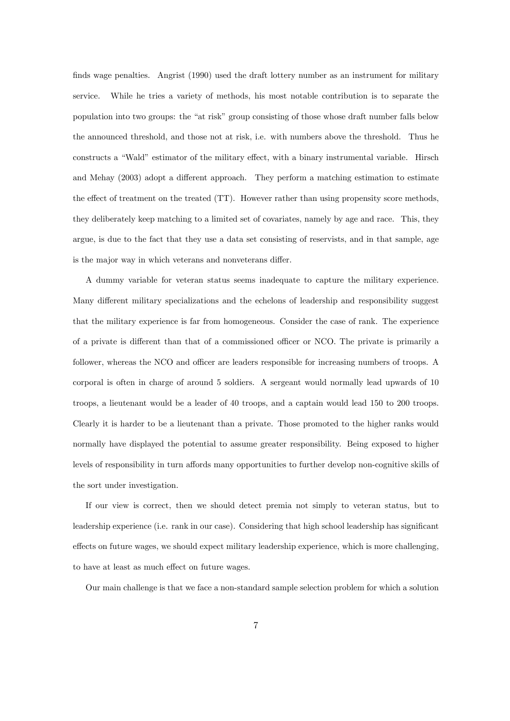finds wage penalties. Angrist (1990) used the draft lottery number as an instrument for military service. While he tries a variety of methods, his most notable contribution is to separate the population into two groups: the "at risk" group consisting of those whose draft number falls below the announced threshold, and those not at risk, i.e. with numbers above the threshold. Thus he constructs a "Wald" estimator of the military effect, with a binary instrumental variable. Hirsch and Mehay (2003) adopt a different approach. They perform a matching estimation to estimate the effect of treatment on the treated (TT). However rather than using propensity score methods, they deliberately keep matching to a limited set of covariates, namely by age and race. This, they argue, is due to the fact that they use a data set consisting of reservists, and in that sample, age is the major way in which veterans and nonveterans differ.

A dummy variable for veteran status seems inadequate to capture the military experience. Many different military specializations and the echelons of leadership and responsibility suggest that the military experience is far from homogeneous. Consider the case of rank. The experience of a private is different than that of a commissioned officer or NCO. The private is primarily a follower, whereas the NCO and officer are leaders responsible for increasing numbers of troops. A corporal is often in charge of around 5 soldiers. A sergeant would normally lead upwards of 10 troops, a lieutenant would be a leader of 40 troops, and a captain would lead 150 to 200 troops. Clearly it is harder to be a lieutenant than a private. Those promoted to the higher ranks would normally have displayed the potential to assume greater responsibility. Being exposed to higher levels of responsibility in turn affords many opportunities to further develop non-cognitive skills of the sort under investigation.

If our view is correct, then we should detect premia not simply to veteran status, but to leadership experience (i.e. rank in our case). Considering that high school leadership has significant effects on future wages, we should expect military leadership experience, which is more challenging, to have at least as much effect on future wages.

Our main challenge is that we face a non-standard sample selection problem for which a solution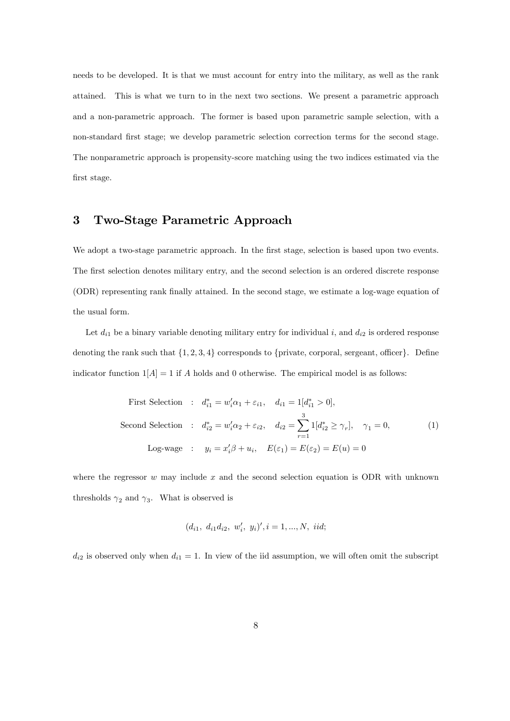needs to be developed. It is that we must account for entry into the military, as well as the rank attained. This is what we turn to in the next two sections. We present a parametric approach and a non-parametric approach. The former is based upon parametric sample selection, with a non-standard Örst stage; we develop parametric selection correction terms for the second stage. The nonparametric approach is propensity-score matching using the two indices estimated via the first stage.

# 3 Two-Stage Parametric Approach

We adopt a two-stage parametric approach. In the first stage, selection is based upon two events. The first selection denotes military entry, and the second selection is an ordered discrete response (ODR) representing rank Önally attained. In the second stage, we estimate a log-wage equation of the usual form.

Let  $d_{i1}$  be a binary variable denoting military entry for individual i, and  $d_{i2}$  is ordered response denoting the rank such that  $\{1, 2, 3, 4\}$  corresponds to {private, corporal, sergeant, officer}. Define indicator function  $1[A] = 1$  if A holds and 0 otherwise. The empirical model is as follows:

First Selection : 
$$
d_{i1}^* = w_i'\alpha_1 + \varepsilon_{i1}
$$
,  $d_{i1} = 1[d_{i1}^* > 0]$ ,  
\nSecond Selection :  $d_{i2}^* = w_i'\alpha_2 + \varepsilon_{i2}$ ,  $d_{i2} = \sum_{r=1}^3 1[d_{i2}^* \ge \gamma_r]$ ,  $\gamma_1 = 0$ , (1)  
\nLog-wave :  $y_i = x_i'\beta + u_i$ ,  $E(\varepsilon_1) = E(\varepsilon_2) = E(u) = 0$ 

where the regressor  $w$  may include  $x$  and the second selection equation is ODR with unknown thresholds  $\gamma_2$  and  $\gamma_3$ . What is observed is

$$
(d_{i1}, d_{i1}d_{i2}, w'_i, y_i)', i = 1, ..., N, \text{ } iid;
$$

 $d_{i2}$  is observed only when  $d_{i1} = 1$ . In view of the iid assumption, we will often omit the subscript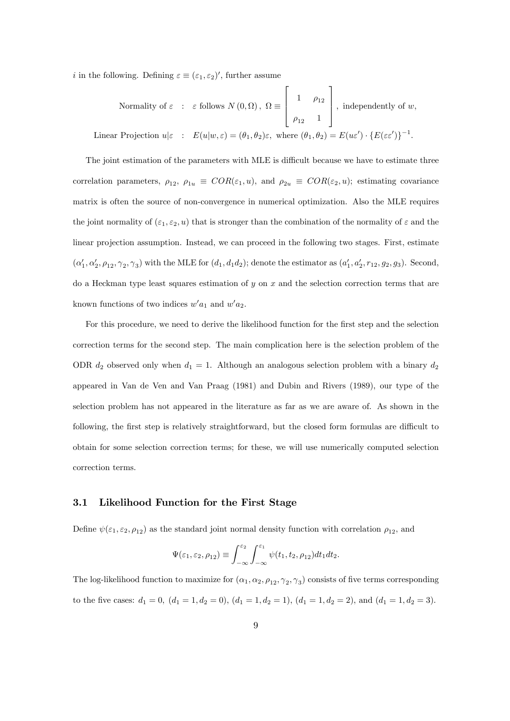*i* in the following. Defining  $\varepsilon \equiv (\varepsilon_1, \varepsilon_2)'$ , further assume

Normality of 
$$
\varepsilon
$$
:  $\varepsilon$  follows  $N(0, \Omega)$ ,  $\Omega \equiv \begin{bmatrix} 1 & \rho_{12} \\ \rho_{12} & 1 \end{bmatrix}$ , independently of  $w$ ,

\nLinear Projection  $u|\varepsilon$ :  $E(u|w, \varepsilon) = (\theta_1, \theta_2)\varepsilon$ , where  $(\theta_1, \theta_2) = E(u\varepsilon') \cdot \{E(\varepsilon \varepsilon')\}^{-1}$ .

The joint estimation of the parameters with MLE is difficult because we have to estimate three correlation parameters,  $\rho_{12}$ ,  $\rho_{1u} \equiv COR(\varepsilon_1, u)$ , and  $\rho_{2u} \equiv COR(\varepsilon_2, u)$ ; estimating covariance matrix is often the source of non-convergence in numerical optimization. Also the MLE requires the joint normality of  $(\varepsilon_1, \varepsilon_2, u)$  that is stronger than the combination of the normality of  $\varepsilon$  and the linear projection assumption. Instead, we can proceed in the following two stages. First, estimate  $(\alpha'_1, \alpha'_2, \rho_{12}, \gamma_2, \gamma_3)$  with the MLE for  $(d_1, d_1d_2)$ ; denote the estimator as  $(a'_1, a'_2, r_{12}, g_2, g_3)$ . Second, do a Heckman type least squares estimation of  $y$  on  $x$  and the selection correction terms that are known functions of two indices  $w'a_1$  and  $w'a_2$ .

For this procedure, we need to derive the likelihood function for the first step and the selection correction terms for the second step. The main complication here is the selection problem of the ODR  $d_2$  observed only when  $d_1 = 1$ . Although an analogous selection problem with a binary  $d_2$ appeared in Van de Ven and Van Praag (1981) and Dubin and Rivers (1989), our type of the selection problem has not appeared in the literature as far as we are aware of. As shown in the following, the first step is relatively straightforward, but the closed form formulas are difficult to obtain for some selection correction terms; for these, we will use numerically computed selection correction terms.

#### 3.1 Likelihood Function for the First Stage

Define  $\psi(\varepsilon_1, \varepsilon_2, \rho_{12})$  as the standard joint normal density function with correlation  $\rho_{12}$ , and

$$
\Psi(\varepsilon_1, \varepsilon_2, \rho_{12}) \equiv \int_{-\infty}^{\varepsilon_2} \int_{-\infty}^{\varepsilon_1} \psi(t_1, t_2, \rho_{12}) dt_1 dt_2.
$$

The log-likelihood function to maximize for  $(\alpha_1, \alpha_2, \rho_{12}, \gamma_2, \gamma_3)$  consists of five terms corresponding to the five cases:  $d_1 = 0$ ,  $(d_1 = 1, d_2 = 0)$ ,  $(d_1 = 1, d_2 = 1)$ ,  $(d_1 = 1, d_2 = 2)$ , and  $(d_1 = 1, d_2 = 3)$ .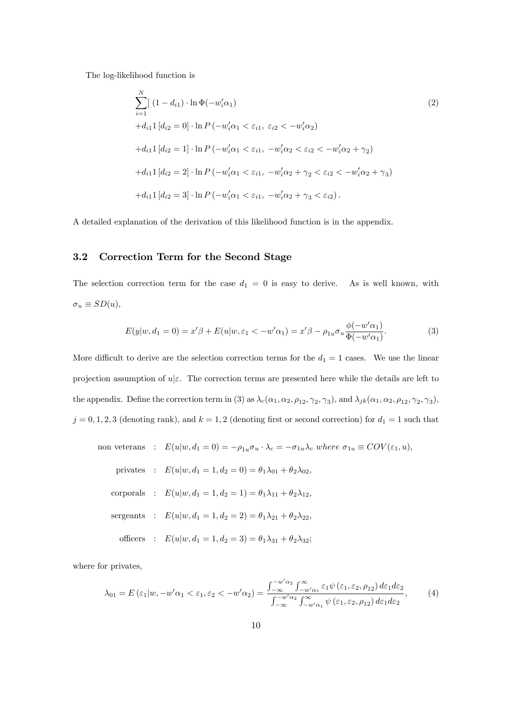The log-likelihood function is

$$
\sum_{i=1}^{N} [(1 - d_{i1}) \cdot \ln \Phi(-w_i' \alpha_1) \qquad (2)
$$
  
\n
$$
+d_{i1} 1 [d_{i2} = 0] \cdot \ln P(-w_i' \alpha_1 < \varepsilon_{i1}, \varepsilon_{i2} < -w_i' \alpha_2)
$$
  
\n
$$
+d_{i1} 1 [d_{i2} = 1] \cdot \ln P(-w_i' \alpha_1 < \varepsilon_{i1}, -w_i' \alpha_2 < \varepsilon_{i2} < -w_i' \alpha_2 + \gamma_2)
$$
  
\n
$$
+d_{i1} 1 [d_{i2} = 2] \cdot \ln P(-w_i' \alpha_1 < \varepsilon_{i1}, -w_i' \alpha_2 + \gamma_2 < \varepsilon_{i2} < -w_i' \alpha_2 + \gamma_3)
$$
  
\n
$$
+d_{i1} 1 [d_{i2} = 3] \cdot \ln P(-w_i' \alpha_1 < \varepsilon_{i1}, -w_i' \alpha_2 + \gamma_3 < \varepsilon_{i2}).
$$
 (2)

A detailed explanation of the derivation of this likelihood function is in the appendix.

#### 3.2 Correction Term for the Second Stage

The selection correction term for the case  $d_1 = 0$  is easy to derive. As is well known, with  $\sigma_u \equiv SD(u),$ 

$$
E(y|w, d_1 = 0) = x'\beta + E(u|w, \varepsilon_1 < -w'\alpha_1) = x'\beta - \rho_{1u}\sigma_u \frac{\phi(-w'\alpha_1)}{\Phi(-w'\alpha_1)}.
$$
 (3)

More difficult to derive are the selection correction terms for the  $d_1 = 1$  cases. We use the linear projection assumption of  $u|\varepsilon$ . The correction terms are presented here while the details are left to the appendix. Define the correction term in (3) as  $\lambda_c(\alpha_1, \alpha_2, \rho_{12}, \gamma_2, \gamma_3)$ , and  $\lambda_{jk}(\alpha_1, \alpha_2, \rho_{12}, \gamma_2, \gamma_3)$ ,  $j = 0, 1, 2, 3$  (denoting rank), and  $k = 1, 2$  (denoting first or second correction) for  $d_1 = 1$  such that

non vectors : 
$$
E(u|w, d_1 = 0) = -\rho_{1u}\sigma_u \cdot \lambda_c = -\sigma_{1u}\lambda_c
$$
 where  $\sigma_{1u} \equiv COV(\varepsilon_1, u)$ ,  
\nprivates :  $E(u|w, d_1 = 1, d_2 = 0) = \theta_1\lambda_{01} + \theta_2\lambda_{02}$ ,  
\ncorporals :  $E(u|w, d_1 = 1, d_2 = 1) = \theta_1\lambda_{11} + \theta_2\lambda_{12}$ ,  
\nsergeants :  $E(u|w, d_1 = 1, d_2 = 2) = \theta_1\lambda_{21} + \theta_2\lambda_{22}$ ,  
\nofficers :  $E(u|w, d_1 = 1, d_2 = 3) = \theta_1\lambda_{31} + \theta_2\lambda_{32}$ ;

where for privates,

$$
\lambda_{01} = E\left(\varepsilon_{1}|w, -w'\alpha_{1} < \varepsilon_{1}, \varepsilon_{2} < -w'\alpha_{2}\right) = \frac{\int_{-\infty}^{-w'\alpha_{2}} \int_{-w'\alpha_{1}}^{\infty} \varepsilon_{1}\psi\left(\varepsilon_{1}, \varepsilon_{2}, \rho_{12}\right) d\varepsilon_{1} d\varepsilon_{2}}{\int_{-\infty}^{-w'\alpha_{2}} \int_{-w'\alpha_{1}}^{\infty} \psi\left(\varepsilon_{1}, \varepsilon_{2}, \rho_{12}\right) d\varepsilon_{1} d\varepsilon_{2}},\tag{4}
$$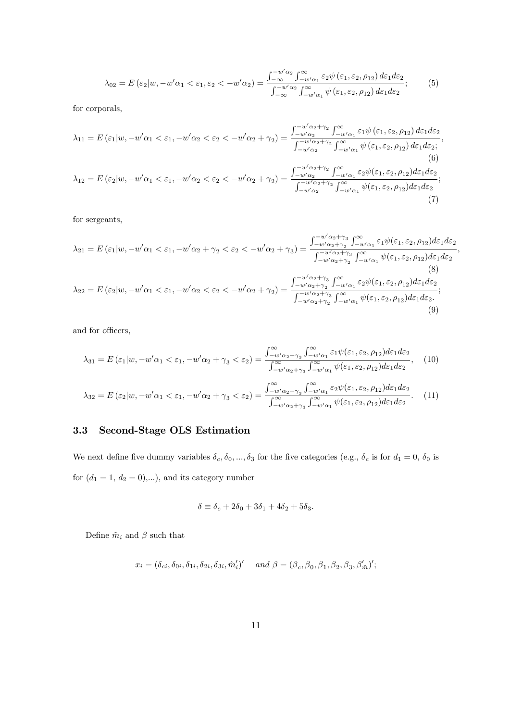$$
\lambda_{02} = E\left(\varepsilon_2 | w, -w'\alpha_1 < \varepsilon_1, \varepsilon_2 < -w'\alpha_2\right) = \frac{\int_{-\infty}^{-w'\alpha_2} \int_{-w'\alpha_1}^{\infty} \varepsilon_2 \psi\left(\varepsilon_1, \varepsilon_2, \rho_{12}\right) d\varepsilon_1 d\varepsilon_2}{\int_{-\infty}^{-w'\alpha_2} \int_{-w'\alpha_1}^{\infty} \psi\left(\varepsilon_1, \varepsilon_2, \rho_{12}\right) d\varepsilon_1 d\varepsilon_2};\tag{5}
$$

for corporals,

$$
\lambda_{11} = E\left(\varepsilon_{1}|w, -w'\alpha_{1} < \varepsilon_{1}, -w'\alpha_{2} < \varepsilon_{2} < -w'\alpha_{2} + \gamma_{2}\right) = \frac{\int_{-w'\alpha_{2}}^{-w'\alpha_{2}+\gamma_{2}} \int_{-w'\alpha_{1}}^{\infty} \varepsilon_{1}\psi\left(\varepsilon_{1}, \varepsilon_{2}, \rho_{12}\right) d\varepsilon_{1} d\varepsilon_{2}}{\int_{-w'\alpha_{2}}^{-w'\alpha_{2}+\gamma_{2}} \int_{-w'\alpha_{1}}^{\infty} \psi\left(\varepsilon_{1}, \varepsilon_{2}, \rho_{12}\right) d\varepsilon_{1} d\varepsilon_{2}};
$$
\n
$$
\lambda_{12} = E\left(\varepsilon_{2}|w, -w'\alpha_{1} < \varepsilon_{1}, -w'\alpha_{2} < \varepsilon_{2} < -w'\alpha_{2} + \gamma_{2}\right) = \frac{\int_{-w'\alpha_{2}}^{-w'\alpha_{2}+\gamma_{2}} \int_{-w'\alpha_{1}}^{\infty} \varepsilon_{2}\psi(\varepsilon_{1}, \varepsilon_{2}, \rho_{12}) d\varepsilon_{1} d\varepsilon_{2}}{\int_{-w'\alpha_{2}}^{-w'\alpha_{2}+\gamma_{2}} \int_{-w'\alpha_{1}}^{\infty} \psi(\varepsilon_{1}, \varepsilon_{2}, \rho_{12}) d\varepsilon_{1} d\varepsilon_{2}};
$$
\n
$$
(7)
$$

for sergeants,

$$
\lambda_{21} = E\left(\varepsilon_{1}|w, -w'\alpha_{1} < \varepsilon_{1}, -w'\alpha_{2} + \gamma_{2} < \varepsilon_{2} < -w'\alpha_{2} + \gamma_{3}\right) = \frac{\int_{-w'\alpha_{2}+\gamma_{3}}^{-w'\alpha_{2}+\gamma_{3}} \int_{-w'\alpha_{1}}^{\infty} \varepsilon_{1}\psi(\varepsilon_{1}, \varepsilon_{2}, \rho_{12}) d\varepsilon_{1} d\varepsilon_{2}}{\int_{-w'\alpha_{2}+\gamma_{2}}^{-w'\alpha_{2}+\gamma_{3}} \int_{-w'\alpha_{1}}^{\infty} \psi(\varepsilon_{1}, \varepsilon_{2}, \rho_{12}) d\varepsilon_{1} d\varepsilon_{2}},\tag{8}
$$
\n
$$
\lambda_{22} = E\left(\varepsilon_{2}|w, -w'\alpha_{1} < \varepsilon_{1}, -w'\alpha_{2} < \varepsilon_{2} < -w'\alpha_{2} + \gamma_{2}\right) = \frac{\int_{-w'\alpha_{2}+\gamma_{3}}^{-w'\alpha_{2}+\gamma_{3}} \int_{-w'\alpha_{1}}^{\infty} \varepsilon_{2}\psi(\varepsilon_{1}, \varepsilon_{2}, \rho_{12}) d\varepsilon_{1} d\varepsilon_{2}}{\int_{-w'\alpha_{2}+\gamma_{2}}^{-w'\alpha_{2}+\gamma_{3}} \int_{-w'\alpha_{1}}^{\infty} \psi(\varepsilon_{1}, \varepsilon_{2}, \rho_{12}) d\varepsilon_{1} d\varepsilon_{2}},\tag{9}
$$

and for officers,

$$
\lambda_{31} = E\left(\varepsilon_{1}|w, -w'\alpha_{1} < \varepsilon_{1}, -w'\alpha_{2} + \gamma_{3} < \varepsilon_{2}\right) = \frac{\int_{-w'\alpha_{2}+\gamma_{3}}^{\infty}\int_{-w'\alpha_{1}}^{\infty}\varepsilon_{1}\psi(\varepsilon_{1}, \varepsilon_{2}, \rho_{12})d\varepsilon_{1}d\varepsilon_{2}}{\int_{-w'\alpha_{2}+\gamma_{3}}^{\infty}\int_{-w'\alpha_{1}}^{\infty}\psi(\varepsilon_{1}, \varepsilon_{2}, \rho_{12})d\varepsilon_{1}d\varepsilon_{2}},\tag{10}
$$
\n
$$
\lambda_{32} = E\left(\varepsilon_{2}|w, -w'\alpha_{1} < \varepsilon_{1}, -w'\alpha_{2} + \gamma_{3} < \varepsilon_{2}\right) = \frac{\int_{-w'\alpha_{2}+\gamma_{3}}^{\infty}\int_{-w'\alpha_{1}}^{\infty}\varepsilon_{2}\psi(\varepsilon_{1}, \varepsilon_{2}, \rho_{12})d\varepsilon_{1}d\varepsilon_{2}}{\int_{-w'\alpha_{2}+\gamma_{3}}^{\infty}\int_{-w'\alpha_{1}}^{\infty}\psi(\varepsilon_{1}, \varepsilon_{2}, \rho_{12})d\varepsilon_{1}d\varepsilon_{2}}.\tag{11}
$$

## 3.3 Second-Stage OLS Estimation

We next define five dummy variables  $\delta_c, \delta_0, ..., \delta_3$  for the five categories (e.g.,  $\delta_c$  is for  $d_1 = 0, \delta_0$  is for  $(d_1 = 1, d_2 = 0), \ldots$ , and its category number

$$
\delta \equiv \delta_c + 2\delta_0 + 3\delta_1 + 4\delta_2 + 5\delta_3.
$$

Define  $\tilde{m}_i$  and  $\beta$  such that

$$
x_i = (\delta_{ci}, \delta_{0i}, \delta_{1i}, \delta_{2i}, \delta_{3i}, \tilde{m}'_i)' \quad \text{and } \beta = (\beta_c, \beta_0, \beta_1, \beta_2, \beta_3, \beta'_{\tilde{m}})';
$$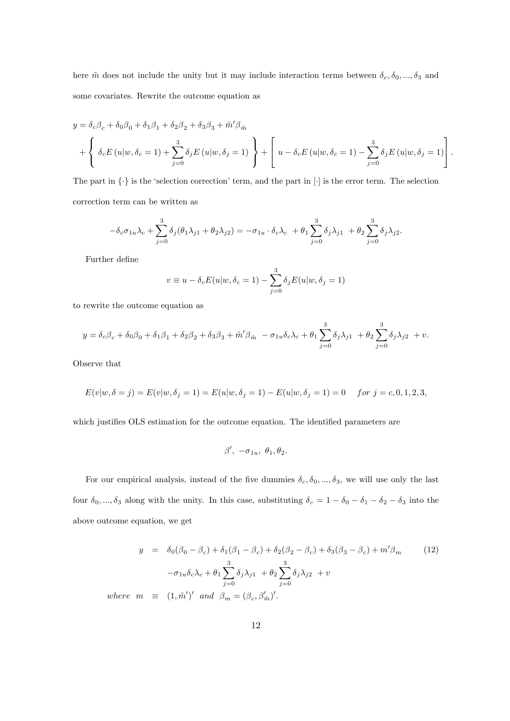here  $\tilde{m}$  does not include the unity but it may include interaction terms between  $\delta_c, \delta_0, ..., \delta_3$  and some covariates. Rewrite the outcome equation as

$$
y = \delta_c \beta_c + \delta_0 \beta_0 + \delta_1 \beta_1 + \delta_2 \beta_2 + \delta_3 \beta_3 + \tilde{m}' \beta_{\tilde{m}}
$$
  
+ 
$$
\left\{ \delta_c E(u|w, \delta_c = 1) + \sum_{j=0}^3 \delta_j E(u|w, \delta_j = 1) \right\} + \left[ u - \delta_c E(u|w, \delta_c = 1) - \sum_{j=0}^3 \delta_j E(u|w, \delta_j = 1) \right].
$$

The part in  $\{\cdot\}$  is the 'selection correction' term, and the part in  $[\cdot]$  is the error term. The selection correction term can be written as

$$
-\delta_c \sigma_{1u} \lambda_c + \sum_{j=0}^3 \delta_j (\theta_1 \lambda_{j1} + \theta_2 \lambda_{j2}) = -\sigma_{1u} \cdot \delta_c \lambda_c + \theta_1 \sum_{j=0}^3 \delta_j \lambda_{j1} + \theta_2 \sum_{j=0}^3 \delta_j \lambda_{j2}.
$$

Further define

$$
v \equiv u - \delta_c E(u|w, \delta_c = 1) - \sum_{j=0}^{3} \delta_j E(u|w, \delta_j = 1)
$$

to rewrite the outcome equation as

$$
y = \delta_c \beta_c + \delta_0 \beta_0 + \delta_1 \beta_1 + \delta_2 \beta_2 + \delta_3 \beta_3 + \tilde{m}' \beta_{\tilde{m}} - \sigma_{1u} \delta_c \lambda_c + \theta_1 \sum_{j=0}^3 \delta_j \lambda_{j1} + \theta_2 \sum_{j=0}^3 \delta_j \lambda_{j2} + v.
$$

Observe that

$$
E(v|w, \delta = j) = E(v|w, \delta_j = 1) = E(u|w, \delta_j = 1) - E(u|w, \delta_j = 1) = 0 \text{ for } j = c, 0, 1, 2, 3,
$$

which justifies OLS estimation for the outcome equation. The identified parameters are

$$
\beta', -\sigma_{1u}, \theta_1, \theta_2.
$$

For our empirical analysis, instead of the five dummies  $\delta_c$ ,  $\delta_0$ , ...,  $\delta_3$ , we will use only the last four  $\delta_0, ..., \delta_3$  along with the unity. In this case, substituting  $\delta_c = 1 - \delta_0 - \delta_1 - \delta_2 - \delta_3$  into the above outcome equation, we get

$$
y = \delta_0(\beta_0 - \beta_c) + \delta_1(\beta_1 - \beta_c) + \delta_2(\beta_2 - \beta_c) + \delta_3(\beta_3 - \beta_c) + m'\beta_m
$$
 (12)  

$$
-\sigma_{1u}\delta_c\lambda_c + \theta_1 \sum_{j=0}^3 \delta_j\lambda_{j1} + \theta_2 \sum_{j=0}^3 \delta_j\lambda_{j2} + v
$$
  
where  $m \equiv (1, \tilde{m}')'$  and  $\beta_m = (\beta_c, \beta'_{\tilde{m}})'$ .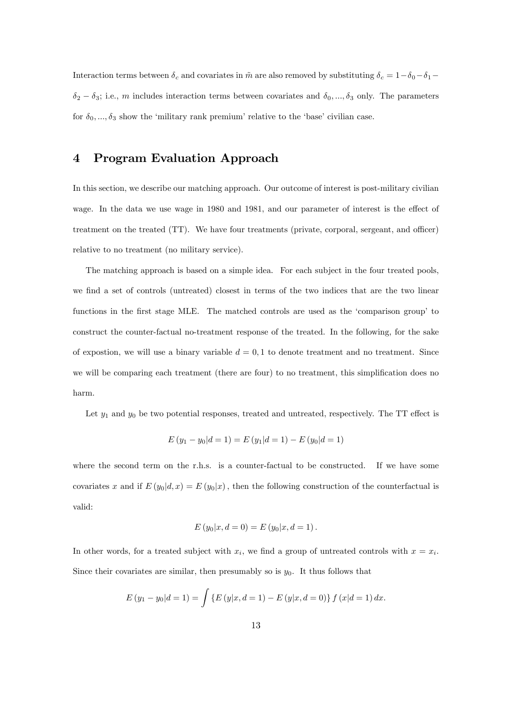Interaction terms between  $\delta_c$  and covariates in  $\tilde{m}$  are also removed by substituting  $\delta_c = 1-\delta_0-\delta_1-\delta_1$  $\delta_2 - \delta_3$ ; i.e., m includes interaction terms between covariates and  $\delta_0, ..., \delta_3$  only. The parameters for  $\delta_0, ..., \delta_3$  show the 'military rank premium' relative to the 'base' civilian case.

## 4 Program Evaluation Approach

In this section, we describe our matching approach. Our outcome of interest is post-military civilian wage. In the data we use wage in 1980 and 1981, and our parameter of interest is the effect of treatment on the treated (TT). We have four treatments (private, corporal, sergeant, and officer) relative to no treatment (no military service).

The matching approach is based on a simple idea. For each subject in the four treated pools, we find a set of controls (untreated) closest in terms of the two indices that are the two linear functions in the first stage MLE. The matched controls are used as the 'comparison group' to construct the counter-factual no-treatment response of the treated. In the following, for the sake of expostion, we will use a binary variable  $d = 0, 1$  to denote treatment and no treatment. Since we will be comparing each treatment (there are four) to no treatment, this simplification does no harm.

Let  $y_1$  and  $y_0$  be two potential responses, treated and untreated, respectively. The TT effect is

$$
E(y_1 - y_0|d = 1) = E(y_1|d = 1) - E(y_0|d = 1)
$$

where the second term on the r.h.s. is a counter-factual to be constructed. If we have some covariates x and if  $E(y_0|d, x) = E(y_0|x)$ , then the following construction of the counterfactual is valid:

$$
E(y_0|x, d=0) = E(y_0|x, d=1).
$$

In other words, for a treated subject with  $x_i$ , we find a group of untreated controls with  $x = x_i$ . Since their covariates are similar, then presumably so is  $y_0$ . It thus follows that

$$
E(y_1 - y_0|d = 1) = \int \{E(y|x, d = 1) - E(y|x, d = 0)\} f(x|d = 1) dx.
$$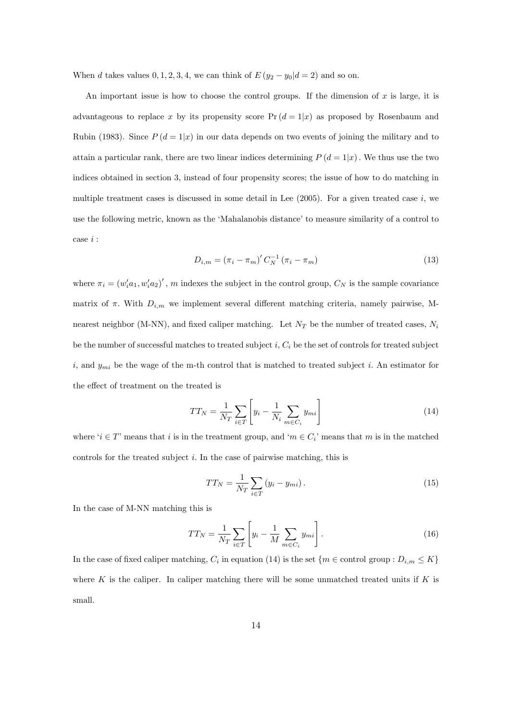When d takes values  $0, 1, 2, 3, 4$ , we can think of  $E(y_2 - y_0|d = 2)$  and so on.

An important issue is how to choose the control groups. If the dimension of x is large, it is advantageous to replace x by its propensity score  $Pr(d = 1|x)$  as proposed by Rosenbaum and Rubin (1983). Since  $P(d=1|x)$  in our data depends on two events of joining the military and to attain a particular rank, there are two linear indices determining  $P(d=1|x)$ . We thus use the two indices obtained in section 3, instead of four propensity scores; the issue of how to do matching in multiple treatment cases is discussed in some detail in Lee  $(2005)$ . For a given treated case i, we use the following metric, known as the 'Mahalanobis distance' to measure similarity of a control to case  $i$  :

$$
D_{i,m} = (\pi_i - \pi_m)' C_N^{-1} (\pi_i - \pi_m)
$$
\n(13)

where  $\pi_i = (w_i' a_1, w_i' a_2)'$ , m indexes the subject in the control group,  $C_N$  is the sample covariance matrix of  $\pi$ . With  $D_{i,m}$  we implement several different matching criteria, namely pairwise, Mnearest neighbor (M-NN), and fixed caliper matching. Let  $N_T$  be the number of treated cases,  $N_i$ be the number of successful matches to treated subject  $i, C_i$  be the set of controls for treated subject i, and  $y_{mi}$  be the wage of the m-th control that is matched to treated subject i. An estimator for the effect of treatment on the treated is

$$
TT_N = \frac{1}{N_T} \sum_{i \in T} \left[ y_i - \frac{1}{N_i} \sum_{m \in C_i} y_{mi} \right]
$$
 (14)

where  $i \in T$  means that i is in the treatment group, and  $m \in C_i$  means that m is in the matched controls for the treated subject  $i$ . In the case of pairwise matching, this is

$$
TT_N = \frac{1}{N_T} \sum_{i \in T} (y_i - y_{mi}). \tag{15}
$$

In the case of M-NN matching this is

$$
TT_N = \frac{1}{N_T} \sum_{i \in T} \left[ y_i - \frac{1}{M} \sum_{m \in C_i} y_{mi} \right].
$$
 (16)

In the case of fixed caliper matching,  $C_i$  in equation (14) is the set  $\{m \in \text{control group}: D_{i,m} \leq K\}$ where K is the caliper. In caliper matching there will be some unmatched treated units if K is small.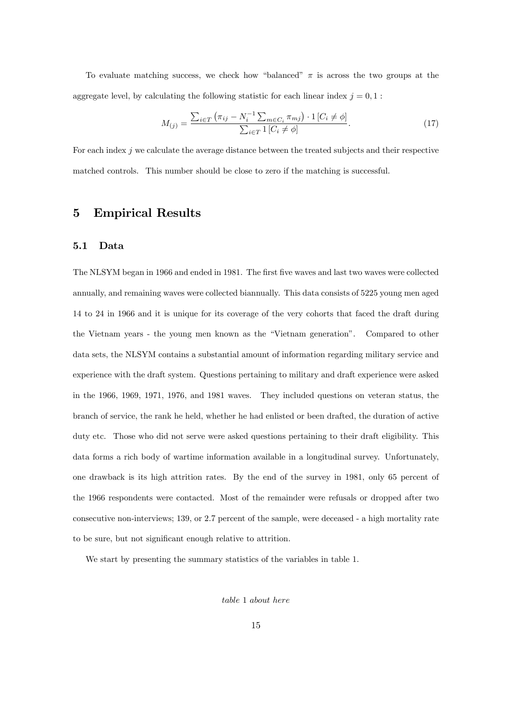To evaluate matching success, we check how "balanced"  $\pi$  is across the two groups at the aggregate level, by calculating the following statistic for each linear index  $j = 0, 1$ :

$$
M_{(j)} = \frac{\sum_{i \in T} (\pi_{ij} - N_i^{-1} \sum_{m \in C_i} \pi_{mj}) \cdot 1 [C_i \neq \phi]}{\sum_{i \in T} 1 [C_i \neq \phi]}.
$$
 (17)

For each index j we calculate the average distance between the treated subjects and their respective matched controls. This number should be close to zero if the matching is successful.

#### 5 Empirical Results

#### 5.1 Data

The NLSYM began in 1966 and ended in 1981. The first five waves and last two waves were collected annually, and remaining waves were collected biannually. This data consists of 5225 young men aged 14 to 24 in 1966 and it is unique for its coverage of the very cohorts that faced the draft during the Vietnam years - the young men known as the "Vietnam generation". Compared to other data sets, the NLSYM contains a substantial amount of information regarding military service and experience with the draft system. Questions pertaining to military and draft experience were asked in the 1966, 1969, 1971, 1976, and 1981 waves. They included questions on veteran status, the branch of service, the rank he held, whether he had enlisted or been drafted, the duration of active duty etc. Those who did not serve were asked questions pertaining to their draft eligibility. This data forms a rich body of wartime information available in a longitudinal survey. Unfortunately, one drawback is its high attrition rates. By the end of the survey in 1981, only 65 percent of the 1966 respondents were contacted. Most of the remainder were refusals or dropped after two consecutive non-interviews; 139, or 2.7 percent of the sample, were deceased - a high mortality rate to be sure, but not significant enough relative to attrition.

We start by presenting the summary statistics of the variables in table 1.

table 1 about here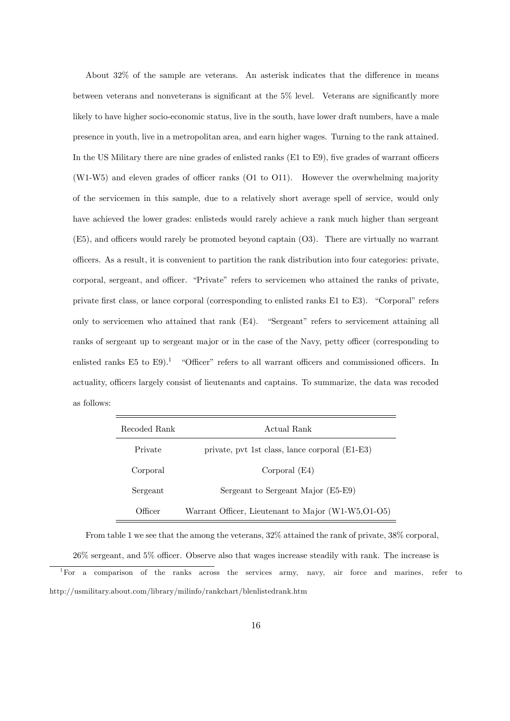About  $32\%$  of the sample are veterans. An asterisk indicates that the difference in means between veterans and nonveterans is significant at the  $5\%$  level. Veterans are significantly more likely to have higher socio-economic status, live in the south, have lower draft numbers, have a male presence in youth, live in a metropolitan area, and earn higher wages. Turning to the rank attained. In the US Military there are nine grades of enlisted ranks  $(E1 \text{ to } E9)$ , five grades of warrant officers  $(W1-W5)$  and eleven grades of officer ranks  $(O1 to O11)$ . However the overwhelming majority of the servicemen in this sample, due to a relatively short average spell of service, would only have achieved the lower grades: enlisteds would rarely achieve a rank much higher than sergeant  $(E5)$ , and officers would rarely be promoted beyond captain  $(03)$ . There are virtually no warrant o¢ cers. As a result, it is convenient to partition the rank distribution into four categories: private, corporal, sergeant, and officer. "Private" refers to servicemen who attained the ranks of private, private first class, or lance corporal (corresponding to enlisted ranks  $E1$  to  $E3$ ). "Corporal" refers only to servicemen who attained that rank  $(E4)$ . "Sergeant" refers to servicement attaining all ranks of sergeant up to sergeant major or in the case of the Navy, petty officer (corresponding to enlisted ranks E5 to E9).<sup>1</sup> "Officer" refers to all warrant officers and commissioned officers. In actuality, officers largely consist of lieutenants and captains. To summarize, the data was recoded as follows:

| Recoded Rank | Actual Rank                                         |
|--------------|-----------------------------------------------------|
| Private      | private, pvt 1st class, lance corporal (E1-E3)      |
| Corporal     | Corporal (E4)                                       |
| Sergeant     | Sergeant to Sergeant Major (E5-E9)                  |
| Officer      | Warrant Officer, Lieutenant to Major (W1-W5, O1-O5) |

From table 1 we see that the among the veterans, 32% attained the rank of private, 38% corporal,

 $26\%$  sergeant, and  $5\%$  officer. Observe also that wages increase steadily with rank. The increase is

<sup>1</sup>For a comparison of the ranks across the services army, navy, air force and marines, refer to http://usmilitary.about.com/library/milinfo/rankchart/blenlistedrank.htm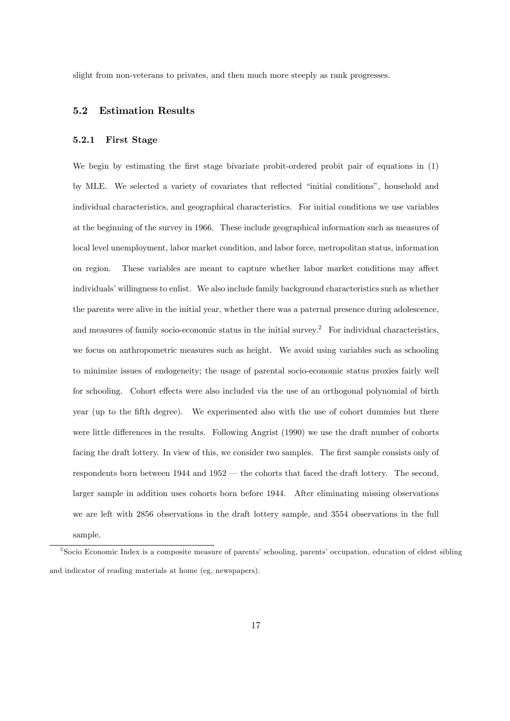slight from non-veterans to privates, and then much more steeply as rank progresses.

#### 5.2 Estimation Results

#### 5.2.1 First Stage

We begin by estimating the first stage bivariate probit-ordered probit pair of equations in (1) by MLE. We selected a variety of covariates that reflected "initial conditions", household and individual characteristics, and geographical characteristics. For initial conditions we use variables at the beginning of the survey in 1966. These include geographical information such as measures of local level unemployment, labor market condition, and labor force, metropolitan status, information on region. These variables are meant to capture whether labor market conditions may affect individuals' willingness to enlist. We also include family background characteristics such as whether the parents were alive in the initial year, whether there was a paternal presence during adolescence, and measures of family socio-economic status in the initial survey.<sup>2</sup> For individual characteristics, we focus on anthropometric measures such as height. We avoid using variables such as schooling to minimize issues of endogeneity; the usage of parental socio-economic status proxies fairly well for schooling. Cohort effects were also included via the use of an orthogonal polynomial of birth year (up to the fifth degree). We experimented also with the use of cohort dummies but there were little differences in the results. Following Angrist (1990) we use the draft number of cohorts facing the draft lottery. In view of this, we consider two samples. The first sample consists only of respondents born between  $1944$  and  $1952$  – the cohorts that faced the draft lottery. The second, larger sample in addition uses cohorts born before 1944. After eliminating missing observations we are left with 2856 observations in the draft lottery sample, and 3554 observations in the full sample.

<sup>&</sup>lt;sup>2</sup>Socio Economic Index is a composite measure of parents' schooling, parents' occupation, education of eldest sibling and indicator of reading materials at home (eg, newspapers).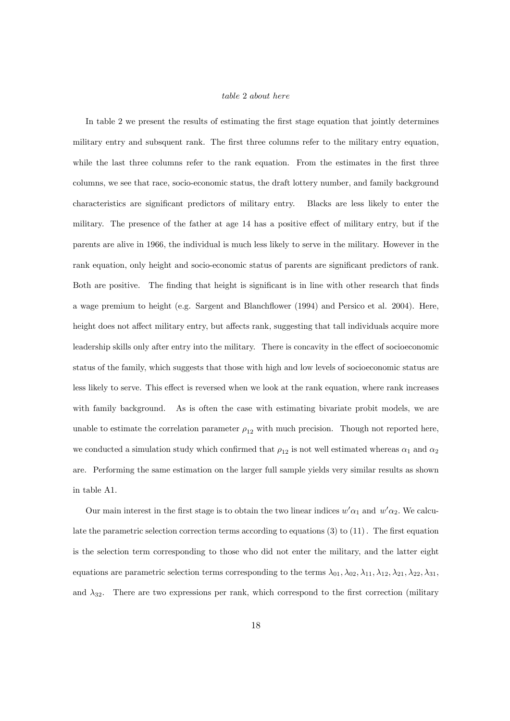#### table 2 about here

In table 2 we present the results of estimating the first stage equation that jointly determines military entry and subsquent rank. The first three columns refer to the military entry equation, while the last three columns refer to the rank equation. From the estimates in the first three columns, we see that race, socio-economic status, the draft lottery number, and family background characteristics are signiÖcant predictors of military entry. Blacks are less likely to enter the military. The presence of the father at age 14 has a positive effect of military entry, but if the parents are alive in 1966, the individual is much less likely to serve in the military. However in the rank equation, only height and socio-economic status of parents are significant predictors of rank. Both are positive. The finding that height is significant is in line with other research that finds a wage premium to height (e.g. Sargent and Blanchflower  $(1994)$  and Persico et al. 2004). Here, height does not affect military entry, but affects rank, suggesting that tall individuals acquire more leadership skills only after entry into the military. There is concavity in the effect of socioeconomic status of the family, which suggests that those with high and low levels of socioeconomic status are less likely to serve. This effect is reversed when we look at the rank equation, where rank increases with family background. As is often the case with estimating bivariate probit models, we are unable to estimate the correlation parameter  $\rho_{12}$  with much precision. Though not reported here, we conducted a simulation study which confirmed that  $\rho_{12}$  is not well estimated whereas  $\alpha_1$  and  $\alpha_2$ are. Performing the same estimation on the larger full sample yields very similar results as shown in table A1.

Our main interest in the first stage is to obtain the two linear indices  $w'\alpha_1$  and  $w'\alpha_2$ . We calculate the parametric selection correction terms according to equations  $(3)$  to  $(11)$ . The first equation is the selection term corresponding to those who did not enter the military, and the latter eight equations are parametric selection terms corresponding to the terms  $\lambda_{01}, \lambda_{02}, \lambda_{11}, \lambda_{12}, \lambda_{21}, \lambda_{22}, \lambda_{31}$ and  $\lambda_{32}$ . There are two expressions per rank, which correspond to the first correction (military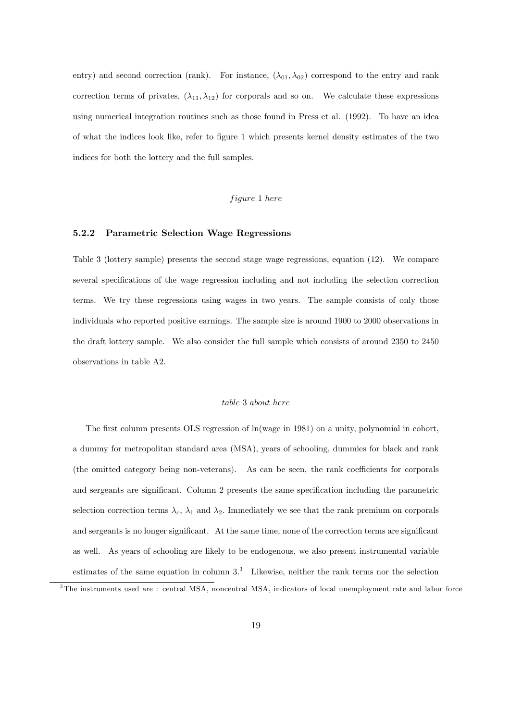entry) and second correction (rank). For instance,  $(\lambda_{01}, \lambda_{02})$  correspond to the entry and rank correction terms of privates,  $(\lambda_{11}, \lambda_{12})$  for corporals and so on. We calculate these expressions using numerical integration routines such as those found in Press et al. (1992). To have an idea of what the indices look like, refer to Ögure 1 which presents kernel density estimates of the two indices for both the lottery and the full samples.

#### figure 1 here

#### 5.2.2 Parametric Selection Wage Regressions

Table 3 (lottery sample) presents the second stage wage regressions, equation (12). We compare several specifications of the wage regression including and not including the selection correction terms. We try these regressions using wages in two years. The sample consists of only those individuals who reported positive earnings. The sample size is around 1900 to 2000 observations in the draft lottery sample. We also consider the full sample which consists of around 2350 to 2450 observations in table A2.

#### table 3 about here

The first column presents OLS regression of ln(wage in 1981) on a unity, polynomial in cohort, a dummy for metropolitan standard area (MSA), years of schooling, dummies for black and rank (the omitted category being non-veterans). As can be seen, the rank coefficients for corporals and sergeants are significant. Column 2 presents the same specification including the parametric selection correction terms  $\lambda_c$ ,  $\lambda_1$  and  $\lambda_2$ . Immediately we see that the rank premium on corporals and sergeants is no longer significant. At the same time, none of the correction terms are significant as well. As years of schooling are likely to be endogenous, we also present instrumental variable estimates of the same equation in column  $3<sup>3</sup>$ . Likewise, neither the rank terms nor the selection

<sup>&</sup>lt;sup>3</sup>The instruments used are : central MSA, noncentral MSA, indicators of local unemployment rate and labor force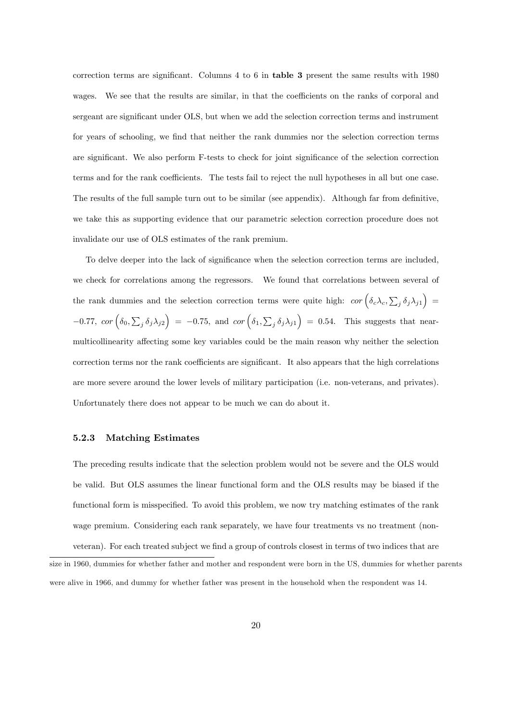correction terms are significant. Columns  $4$  to  $6$  in table 3 present the same results with 1980 wages. We see that the results are similar, in that the coefficients on the ranks of corporal and sergeant are significant under OLS, but when we add the selection correction terms and instrument for years of schooling, we find that neither the rank dummies nor the selection correction terms are significant. We also perform F-tests to check for joint significance of the selection correction terms and for the rank coefficients. The tests fail to reject the null hypotheses in all but one case. The results of the full sample turn out to be similar (see appendix). Although far from definitive, we take this as supporting evidence that our parametric selection correction procedure does not invalidate our use of OLS estimates of the rank premium.

To delve deeper into the lack of significance when the selection correction terms are included, we check for correlations among the regressors. We found that correlations between several of the rank dummies and the selection correction terms were quite high:  $cor\left(\delta_c\lambda_c, \sum_j \delta_j\lambda_{j1}\right)$  $-0.77$ ,  $cor\left(\delta_0, \sum_j \delta_j \lambda_{j2}\right) = -0.75$ , and  $cor\left(\delta_1, \sum_j \delta_j \lambda_{j1}\right) = 0.54$ . This suggests that nearmulticollinearity affecting some key variables could be the main reason why neither the selection correction terms nor the rank coefficients are significant. It also appears that the high correlations are more severe around the lower levels of military participation (i.e. non-veterans, and privates). Unfortunately there does not appear to be much we can do about it.

#### 5.2.3 Matching Estimates

The preceding results indicate that the selection problem would not be severe and the OLS would be valid. But OLS assumes the linear functional form and the OLS results may be biased if the functional form is misspecified. To avoid this problem, we now try matching estimates of the rank wage premium. Considering each rank separately, we have four treatments vs no treatment (non-

veteran). For each treated subject we find a group of controls closest in terms of two indices that are size in 1960, dummies for whether father and mother and respondent were born in the US, dummies for whether parents were alive in 1966, and dummy for whether father was present in the household when the respondent was 14.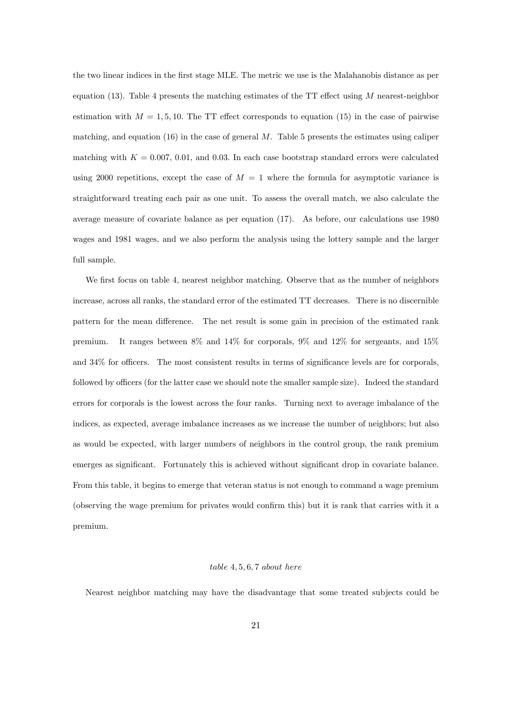the two linear indices in the Örst stage MLE. The metric we use is the Malahanobis distance as per equation (13). Table 4 presents the matching estimates of the  $TT$  effect using  $M$  nearest-neighbor estimation with  $M = 1, 5, 10$ . The TT effect corresponds to equation (15) in the case of pairwise matching, and equation  $(16)$  in the case of general M. Table 5 presents the estimates using caliper matching with  $K = 0.007, 0.01$ , and 0.03. In each case bootstrap standard errors were calculated using 2000 repetitions, except the case of  $M = 1$  where the formula for asymptotic variance is straightforward treating each pair as one unit. To assess the overall match, we also calculate the average measure of covariate balance as per equation (17). As before, our calculations use 1980 wages and 1981 wages, and we also perform the analysis using the lottery sample and the larger full sample.

We first focus on table 4, nearest neighbor matching. Observe that as the number of neighbors increase, across all ranks, the standard error of the estimated TT decreases. There is no discernible pattern for the mean difference. The net result is some gain in precision of the estimated rank premium. It ranges between 8% and 14% for corporals, 9% and 12% for sergeants, and 15% and  $34\%$  for officers. The most consistent results in terms of significance levels are for corporals, followed by officers (for the latter case we should note the smaller sample size). Indeed the standard errors for corporals is the lowest across the four ranks. Turning next to average imbalance of the indices, as expected, average imbalance increases as we increase the number of neighbors; but also as would be expected, with larger numbers of neighbors in the control group, the rank premium emerges as significant. Fortunately this is achieved without significant drop in covariate balance. From this table, it begins to emerge that veteran status is not enough to command a wage premium (observing the wage premium for privates would confirm this) but it is rank that carries with it a premium.

#### $table\ 4, 5, 6, 7\ about\ here$

Nearest neighbor matching may have the disadvantage that some treated subjects could be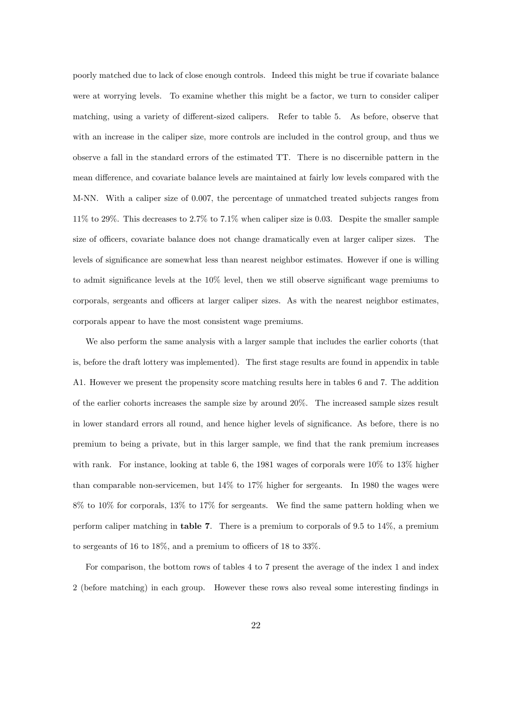poorly matched due to lack of close enough controls. Indeed this might be true if covariate balance were at worrying levels. To examine whether this might be a factor, we turn to consider caliper matching, using a variety of different-sized calipers. Refer to table 5. As before, observe that with an increase in the caliper size, more controls are included in the control group, and thus we observe a fall in the standard errors of the estimated TT. There is no discernible pattern in the mean difference, and covariate balance levels are maintained at fairly low levels compared with the M-NN. With a caliper size of 0.007, the percentage of unmatched treated subjects ranges from 11% to 29%. This decreases to 2.7% to 7.1% when caliper size is 0.03. Despite the smaller sample size of officers, covariate balance does not change dramatically even at larger caliper sizes. The levels of significance are somewhat less than nearest neighbor estimates. However if one is willing to admit significance levels at the  $10\%$  level, then we still observe significant wage premiums to corporals, sergeants and officers at larger caliper sizes. As with the nearest neighbor estimates, corporals appear to have the most consistent wage premiums.

We also perform the same analysis with a larger sample that includes the earlier cohorts (that is, before the draft lottery was implemented). The first stage results are found in appendix in table A1. However we present the propensity score matching results here in tables 6 and 7. The addition of the earlier cohorts increases the sample size by around 20%. The increased sample sizes result in lower standard errors all round, and hence higher levels of significance. As before, there is no premium to being a private, but in this larger sample, we Önd that the rank premium increases with rank. For instance, looking at table 6, the 1981 wages of corporals were  $10\%$  to 13% higher than comparable non-servicemen, but  $14\%$  to  $17\%$  higher for sergeants. In 1980 the wages were  $8\%$  to  $10\%$  for corporals,  $13\%$  to  $17\%$  for sergeants. We find the same pattern holding when we perform caliper matching in table 7. There is a premium to corporals of 9.5 to 14%, a premium to sergeants of 16 to 18%, and a premium to officers of 18 to 33%.

For comparison, the bottom rows of tables 4 to 7 present the average of the index 1 and index 2 (before matching) in each group. However these rows also reveal some interesting findings in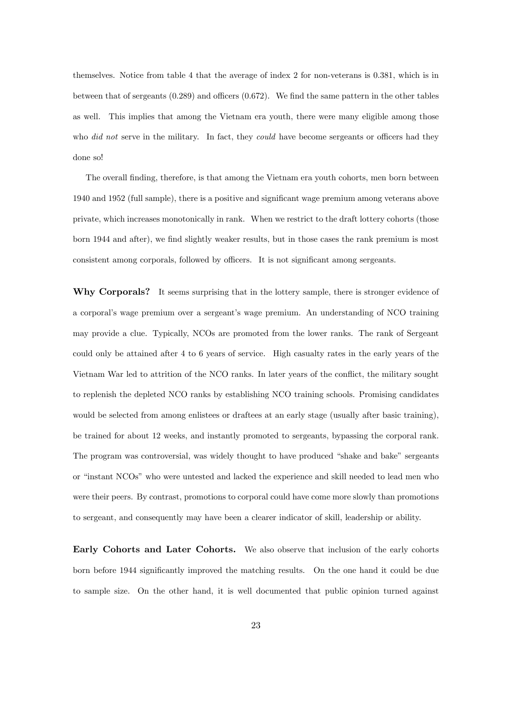themselves. Notice from table 4 that the average of index 2 for non-veterans is 0.381, which is in between that of sergeants  $(0.289)$  and officers  $(0.672)$ . We find the same pattern in the other tables as well. This implies that among the Vietnam era youth, there were many eligible among those who  $did$  not serve in the military. In fact, they could have become sergeants or officers had they done so!

The overall finding, therefore, is that among the Vietnam era youth cohorts, men born between 1940 and 1952 (full sample), there is a positive and significant wage premium among veterans above private, which increases monotonically in rank. When we restrict to the draft lottery cohorts (those born 1944 and after), we find slightly weaker results, but in those cases the rank premium is most consistent among corporals, followed by officers. It is not significant among sergeants.

Why Corporals? It seems surprising that in the lottery sample, there is stronger evidence of a corporalís wage premium over a sergeantís wage premium. An understanding of NCO training may provide a clue. Typically, NCOs are promoted from the lower ranks. The rank of Sergeant could only be attained after 4 to 6 years of service. High casualty rates in the early years of the Vietnam War led to attrition of the NCO ranks. In later years of the conáict, the military sought to replenish the depleted NCO ranks by establishing NCO training schools. Promising candidates would be selected from among enlistees or draftees at an early stage (usually after basic training), be trained for about 12 weeks, and instantly promoted to sergeants, bypassing the corporal rank. The program was controversial, was widely thought to have produced "shake and bake" sergeants or "instant NCOs" who were untested and lacked the experience and skill needed to lead men who were their peers. By contrast, promotions to corporal could have come more slowly than promotions to sergeant, and consequently may have been a clearer indicator of skill, leadership or ability.

Early Cohorts and Later Cohorts. We also observe that inclusion of the early cohorts born before 1944 significantly improved the matching results. On the one hand it could be due to sample size. On the other hand, it is well documented that public opinion turned against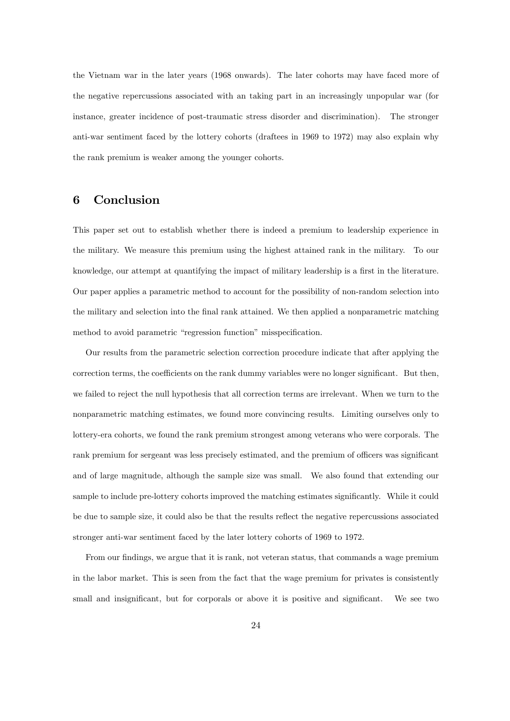the Vietnam war in the later years (1968 onwards). The later cohorts may have faced more of the negative repercussions associated with an taking part in an increasingly unpopular war (for instance, greater incidence of post-traumatic stress disorder and discrimination). The stronger anti-war sentiment faced by the lottery cohorts (draftees in 1969 to 1972) may also explain why the rank premium is weaker among the younger cohorts.

## 6 Conclusion

This paper set out to establish whether there is indeed a premium to leadership experience in the military. We measure this premium using the highest attained rank in the military. To our knowledge, our attempt at quantifying the impact of military leadership is a first in the literature. Our paper applies a parametric method to account for the possibility of non-random selection into the military and selection into the final rank attained. We then applied a nonparametric matching method to avoid parametric "regression function" misspecification.

Our results from the parametric selection correction procedure indicate that after applying the correction terms, the coefficients on the rank dummy variables were no longer significant. But then, we failed to reject the null hypothesis that all correction terms are irrelevant. When we turn to the nonparametric matching estimates, we found more convincing results. Limiting ourselves only to lottery-era cohorts, we found the rank premium strongest among veterans who were corporals. The rank premium for sergeant was less precisely estimated, and the premium of officers was significant and of large magnitude, although the sample size was small. We also found that extending our sample to include pre-lottery cohorts improved the matching estimates significantly. While it could be due to sample size, it could also be that the results reflect the negative repercussions associated stronger anti-war sentiment faced by the later lottery cohorts of 1969 to 1972.

From our findings, we argue that it is rank, not veteran status, that commands a wage premium in the labor market. This is seen from the fact that the wage premium for privates is consistently small and insignificant, but for corporals or above it is positive and significant. We see two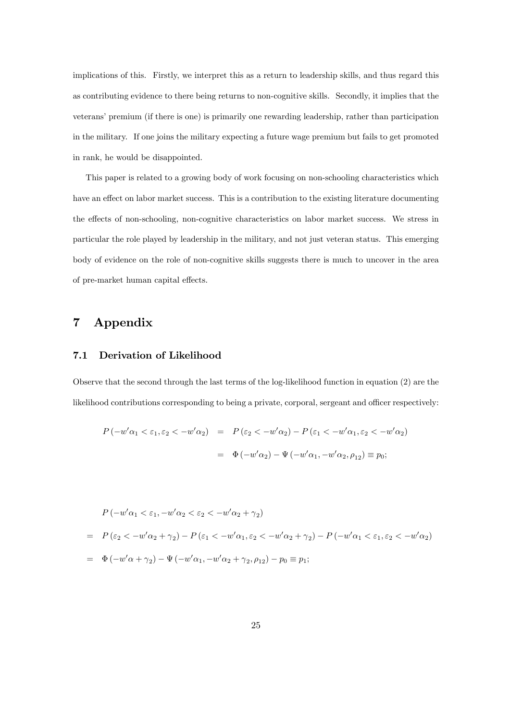implications of this. Firstly, we interpret this as a return to leadership skills, and thus regard this as contributing evidence to there being returns to non-cognitive skills. Secondly, it implies that the veterans' premium (if there is one) is primarily one rewarding leadership, rather than participation in the military. If one joins the military expecting a future wage premium but fails to get promoted in rank, he would be disappointed.

This paper is related to a growing body of work focusing on non-schooling characteristics which have an effect on labor market success. This is a contribution to the existing literature documenting the effects of non-schooling, non-cognitive characteristics on labor market success. We stress in particular the role played by leadership in the military, and not just veteran status. This emerging body of evidence on the role of non-cognitive skills suggests there is much to uncover in the area of pre-market human capital effects.

# 7 Appendix

#### 7.1 Derivation of Likelihood

Observe that the second through the last terms of the log-likelihood function in equation (2) are the likelihood contributions corresponding to being a private, corporal, sergeant and officer respectively:

$$
P(-w'\alpha_1 < \varepsilon_1, \varepsilon_2 < -w'\alpha_2) = P(\varepsilon_2 < -w'\alpha_2) - P(\varepsilon_1 < -w'\alpha_1, \varepsilon_2 < -w'\alpha_2)
$$
  

$$
= \Phi(-w'\alpha_2) - \Psi(-w'\alpha_1, -w'\alpha_2, \rho_{12}) \equiv p_0;
$$

$$
P(-w'\alpha_1 < \varepsilon_1, -w'\alpha_2 < \varepsilon_2 < -w'\alpha_2 + \gamma_2)
$$
  
= 
$$
P(\varepsilon_2 < -w'\alpha_2 + \gamma_2) - P(\varepsilon_1 < -w'\alpha_1, \varepsilon_2 < -w'\alpha_2 + \gamma_2) - P(-w'\alpha_1 < \varepsilon_1, \varepsilon_2 < -w'\alpha_2)
$$
  
= 
$$
\Phi(-w'\alpha + \gamma_2) - \Psi(-w'\alpha_1, -w'\alpha_2 + \gamma_2, \rho_{12}) - p_0 \equiv p_1;
$$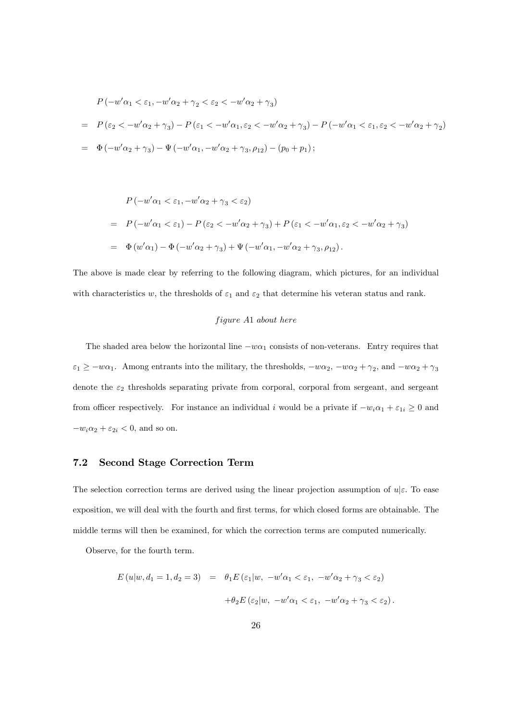$$
P(-w'\alpha_1 < \varepsilon_1, -w'\alpha_2 + \gamma_2 < \varepsilon_2 < -w'\alpha_2 + \gamma_3)
$$
  
=  $P(\varepsilon_2 < -w'\alpha_2 + \gamma_3) - P(\varepsilon_1 < -w'\alpha_1, \varepsilon_2 < -w'\alpha_2 + \gamma_3) - P(-w'\alpha_1 < \varepsilon_1, \varepsilon_2 < -w'\alpha_2 + \gamma_2)$   
=  $\Phi(-w'\alpha_2 + \gamma_3) - \Psi(-w'\alpha_1, -w'\alpha_2 + \gamma_3, \rho_{12}) - (p_0 + p_1);$ 

$$
P(-w'\alpha_1 < \varepsilon_1, -w'\alpha_2 + \gamma_3 < \varepsilon_2)
$$
  
= 
$$
P(-w'\alpha_1 < \varepsilon_1) - P(\varepsilon_2 < -w'\alpha_2 + \gamma_3) + P(\varepsilon_1 < -w'\alpha_1, \varepsilon_2 < -w'\alpha_2 + \gamma_3)
$$
  
= 
$$
\Phi(w'\alpha_1) - \Phi(-w'\alpha_2 + \gamma_3) + \Psi(-w'\alpha_1, -w'\alpha_2 + \gamma_3, \rho_{12}).
$$

The above is made clear by referring to the following diagram, which pictures, for an individual with characteristics w, the thresholds of  $\varepsilon_1$  and  $\varepsilon_2$  that determine his veteran status and rank.

#### $figure A1 about here$

The shaded area below the horizontal line  $-w\alpha_1$  consists of non-veterans. Entry requires that  $\varepsilon_1 \ge -w\alpha_1$ . Among entrants into the military, the thresholds,  $-w\alpha_2$ ,  $-w\alpha_2 + \gamma_2$ , and  $-w\alpha_2 + \gamma_3$ denote the  $\varepsilon_2$  thresholds separating private from corporal, corporal from sergeant, and sergeant from officer respectively. For instance an individual i would be a private if  $-w_i\alpha_1 + \varepsilon_{1i} \geq 0$  and  $-w_i\alpha_2 + \varepsilon_{2i} < 0$ , and so on.

#### 7.2 Second Stage Correction Term

The selection correction terms are derived using the linear projection assumption of  $u|\varepsilon$ . To ease exposition, we will deal with the fourth and first terms, for which closed forms are obtainable. The middle terms will then be examined, for which the correction terms are computed numerically.

Observe, for the fourth term.

$$
E(u|w, d_1 = 1, d_2 = 3) = \theta_1 E(\varepsilon_1|w, -w'\alpha_1 < \varepsilon_1, -w'\alpha_2 + \gamma_3 < \varepsilon_2)
$$

$$
+ \theta_2 E(\varepsilon_2|w, -w'\alpha_1 < \varepsilon_1, -w'\alpha_2 + \gamma_3 < \varepsilon_2).
$$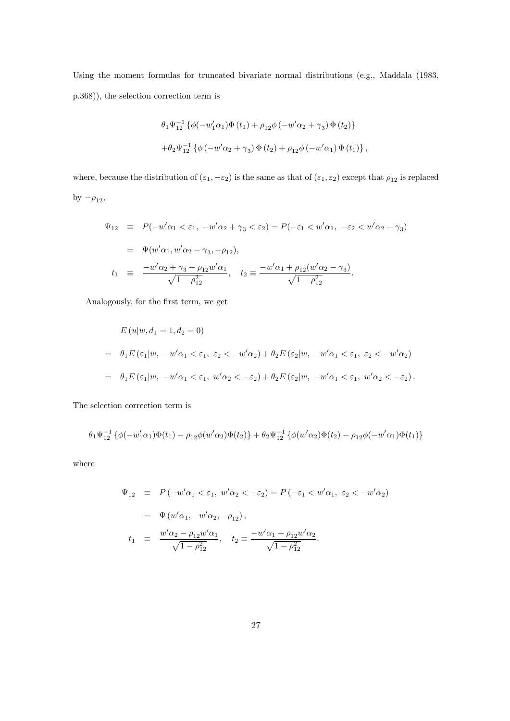Using the moment formulas for truncated bivariate normal distributions (e.g., Maddala (1983, p.368)), the selection correction term is

$$
\theta_1 \Psi_{12}^{-1} \{ \phi(-w'_1 \alpha_1) \Phi(t_1) + \rho_{12} \phi(-w' \alpha_2 + \gamma_3) \Phi(t_2) \}
$$
  
+
$$
\theta_2 \Psi_{12}^{-1} \{ \phi(-w' \alpha_2 + \gamma_3) \Phi(t_2) + \rho_{12} \phi(-w' \alpha_1) \Phi(t_1) \},
$$

where, because the distribution of  $(\varepsilon_1, -\varepsilon_2)$  is the same as that of  $(\varepsilon_1, \varepsilon_2)$  except that  $\rho_{12}$  is replaced by  $-\rho_{12}$ ,

$$
\Psi_{12} \equiv P(-w'\alpha_1 < \varepsilon_1, -w'\alpha_2 + \gamma_3 < \varepsilon_2) = P(-\varepsilon_1 < w'\alpha_1, -\varepsilon_2 < w'\alpha_2 - \gamma_3)
$$
\n
$$
= \Psi(w'\alpha_1, w'\alpha_2 - \gamma_3, -\rho_{12}),
$$
\n
$$
t_1 \equiv \frac{-w'\alpha_2 + \gamma_3 + \rho_{12}w'\alpha_1}{\sqrt{1 - \rho_{12}^2}}, \quad t_2 \equiv \frac{-w'\alpha_1 + \rho_{12}(w'\alpha_2 - \gamma_3)}{\sqrt{1 - \rho_{12}^2}}.
$$

Analogously, for the first term, we get

$$
E(u|w, d_1 = 1, d_2 = 0)
$$
  
=  $\theta_1 E(\varepsilon_1|w, -w'\alpha_1 < \varepsilon_1, \varepsilon_2 < -w'\alpha_2) + \theta_2 E(\varepsilon_2|w, -w'\alpha_1 < \varepsilon_1, \varepsilon_2 < -w'\alpha_2)$   
=  $\theta_1 E(\varepsilon_1|w, -w'\alpha_1 < \varepsilon_1, w'\alpha_2 < -\varepsilon_2) + \theta_2 E(\varepsilon_2|w, -w'\alpha_1 < \varepsilon_1, w'\alpha_2 < -\varepsilon_2).$ 

The selection correction term is

$$
\theta_1\Psi_{12}^{-1}\left\{\phi(-w_1'\alpha_1)\Phi(t_1) - \rho_{12}\phi(w'\alpha_2)\Phi(t_2)\right\} + \theta_2\Psi_{12}^{-1}\left\{\phi(w'\alpha_2)\Phi(t_2) - \rho_{12}\phi(-w'\alpha_1)\Phi(t_1)\right\}
$$

where

$$
\Psi_{12} \equiv P(-w'\alpha_1 < \varepsilon_1, w'\alpha_2 < -\varepsilon_2) = P(-\varepsilon_1 < w'\alpha_1, \varepsilon_2 < -w'\alpha_2)
$$
  
\n
$$
= \Psi(w'\alpha_1, -w'\alpha_2, -\rho_{12}),
$$
  
\n
$$
t_1 \equiv \frac{w'\alpha_2 - \rho_{12}w'\alpha_1}{\sqrt{1 - \rho_{12}^2}}, \quad t_2 \equiv \frac{-w'\alpha_1 + \rho_{12}w'\alpha_2}{\sqrt{1 - \rho_{12}^2}}.
$$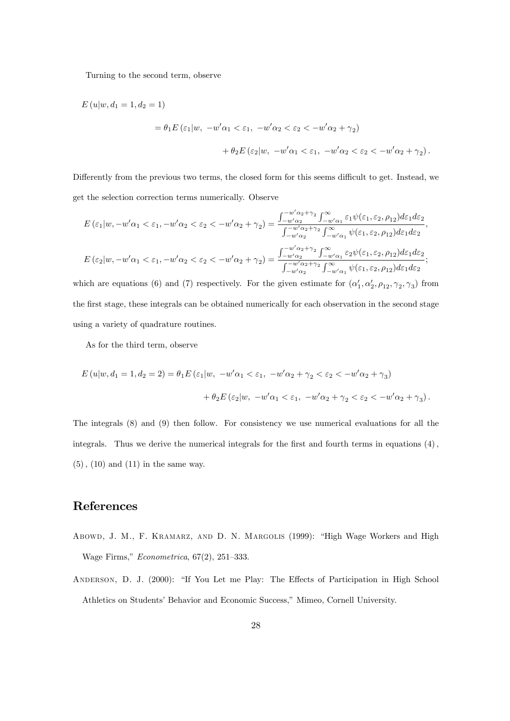Turning to the second term, observe

$$
E(u|w, d_1 = 1, d_2 = 1)
$$
  
=  $\theta_1 E(\varepsilon_1|w, -w'\alpha_1 < \varepsilon_1, -w'\alpha_2 < \varepsilon_2 < -w'\alpha_2 + \gamma_2)$   
 $+ \theta_2 E(\varepsilon_2|w, -w'\alpha_1 < \varepsilon_1, -w'\alpha_2 < \varepsilon_2 < -w'\alpha_2 + \gamma_2).$ 

Differently from the previous two terms, the closed form for this seems difficult to get. Instead, we get the selection correction terms numerically. Observe

$$
E(\varepsilon_1|w, -w'\alpha_1 < \varepsilon_1, -w'\alpha_2 < \varepsilon_2 < -w'\alpha_2 + \gamma_2) = \frac{\int_{-w'\alpha_2}^{-w'\alpha_2 + \gamma_2} \int_{-w'\alpha_1}^{\infty} \varepsilon_1 \psi(\varepsilon_1, \varepsilon_2, \rho_{12}) d\varepsilon_1 d\varepsilon_2}{\int_{-w'\alpha_2}^{-w'\alpha_2 + \gamma_2} \int_{-w'\alpha_1}^{\infty} \psi(\varepsilon_1, \varepsilon_2, \rho_{12}) d\varepsilon_1 d\varepsilon_2},
$$
  

$$
E(\varepsilon_2|w, -w'\alpha_1 < \varepsilon_1, -w'\alpha_2 < \varepsilon_2 < -w'\alpha_2 + \gamma_2) = \frac{\int_{-w'\alpha_2}^{-w'\alpha_2 + \gamma_2} \int_{-w'\alpha_1}^{\infty} \varepsilon_2 \psi(\varepsilon_1, \varepsilon_2, \rho_{12}) d\varepsilon_1 d\varepsilon_2}{\int_{-w'\alpha_2}^{-w'\alpha_2 + \gamma_2} \int_{-w'\alpha_1}^{\infty} \psi(\varepsilon_1, \varepsilon_2, \rho_{12}) d\varepsilon_1 d\varepsilon_2};
$$

which are equations (6) and (7) respectively. For the given estimate for  $(\alpha'_1, \alpha'_2, \rho_{12}, \gamma_2, \gamma_3)$  from the first stage, these integrals can be obtained numerically for each observation in the second stage using a variety of quadrature routines.

As for the third term, observe

$$
E(u|w, d_1 = 1, d_2 = 2) = \theta_1 E(\varepsilon_1|w, -w'\alpha_1 < \varepsilon_1, -w'\alpha_2 + \gamma_2 < \varepsilon_2 < -w'\alpha_2 + \gamma_3)
$$

$$
+ \theta_2 E(\varepsilon_2|w, -w'\alpha_1 < \varepsilon_1, -w'\alpha_2 + \gamma_2 < \varepsilon_2 < -w'\alpha_2 + \gamma_3).
$$

The integrals (8) and (9) then follow. For consistency we use numerical evaluations for all the integrals. Thus we derive the numerical integrals for the first and fourth terms in equations  $(4)$ ,  $(5)$ ,  $(10)$  and  $(11)$  in the same way.

# References

- ABOWD, J. M., F. KRAMARZ, AND D. N. MARGOLIS (1999): "High Wage Workers and High Wage Firms,"  $Econometrica$ , 67(2), 251-333.
- ANDERSON, D. J. (2000): "If You Let me Play: The Effects of Participation in High School Athletics on Students' Behavior and Economic Success," Mimeo, Cornell University.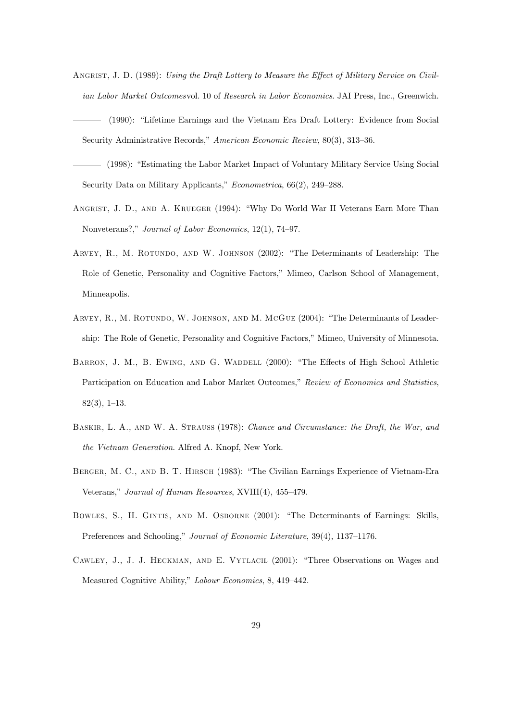- ANGRIST, J. D. (1989): Using the Draft Lottery to Measure the Effect of Military Service on Civilian Labor Market Outcomesvol. 10 of Research in Labor Economics. JAI Press, Inc., Greenwich.
- (1990): "Lifetime Earnings and the Vietnam Era Draft Lottery: Evidence from Social Security Administrative Records," American Economic Review, 80(3), 313-36.
- (1998): "Estimating the Labor Market Impact of Voluntary Military Service Using Social Security Data on Military Applicants,"  $Econometrica$ , 66(2), 249–288.
- ANGRIST, J. D., AND A. KRUEGER (1994): "Why Do World War II Veterans Earn More Than Nonveterans?," Journal of Labor Economics, 12(1), 74-97.
- ARVEY, R., M. ROTUNDO, AND W. JOHNSON (2002): "The Determinants of Leadership: The Role of Genetic, Personality and Cognitive Factors," Mimeo, Carlson School of Management, Minneapolis.
- ARVEY, R., M. ROTUNDO, W. JOHNSON, AND M. MCGUE (2004): "The Determinants of Leadership: The Role of Genetic, Personality and Cognitive Factors," Mimeo, University of Minnesota.
- BARRON, J. M., B. EWING, AND G. WADDELL (2000): "The Effects of High School Athletic Participation on Education and Labor Market Outcomes," Review of Economics and Statistics,  $82(3), 1-13.$
- Baskir, L. A., and W. A. Strauss (1978): Chance and Circumstance: the Draft, the War, and the Vietnam Generation. Alfred A. Knopf, New York.
- BERGER, M. C., AND B. T. HIRSCH (1983): "The Civilian Earnings Experience of Vietnam-Era Veterans," Journal of Human Resources, XVIII(4), 455-479.
- BOWLES, S., H. GINTIS, AND M. OSBORNE (2001): "The Determinants of Earnings: Skills, Preferences and Schooling," Journal of Economic Literature, 39(4), 1137-1176.
- CAWLEY, J., J. J. HECKMAN, AND E. VYTLACIL (2001): "Three Observations on Wages and Measured Cognitive Ability," Labour Economics, 8, 419-442.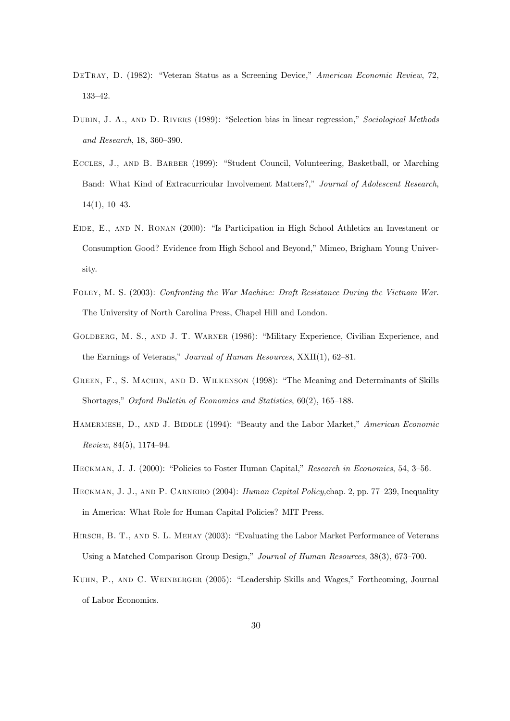- DETRAY, D. (1982): "Veteran Status as a Screening Device," American Economic Review, 72, 133-42.
- DUBIN, J. A., AND D. RIVERS (1989): "Selection bias in linear regression," Sociological Methods and Research, 18, 360-390.
- ECCLES, J., AND B. BARBER (1999): "Student Council, Volunteering, Basketball, or Marching Band: What Kind of Extracurricular Involvement Matters?," Journal of Adolescent Research,  $14(1), 10-43.$
- EIDE, E., AND N. RONAN (2000): "Is Participation in High School Athletics an Investment or Consumption Good? Evidence from High School and Beyond," Mimeo, Brigham Young University.
- Foley, M. S. (2003): Confronting the War Machine: Draft Resistance During the Vietnam War. The University of North Carolina Press, Chapel Hill and London.
- GOLDBERG, M. S., AND J. T. WARNER (1986): "Military Experience, Civilian Experience, and the Earnings of Veterans," Journal of Human Resources,  $XXII(1)$ , 62–81.
- GREEN, F., S. MACHIN, AND D. WILKENSON (1998): "The Meaning and Determinants of Skills Shortages," Oxford Bulletin of Economics and Statistics,  $60(2)$ ,  $165-188$ .
- HAMERMESH, D., AND J. BIDDLE (1994): "Beauty and the Labor Market," American Economic  $Review, 84(5), 1174-94.$
- HECKMAN, J. J. (2000): "Policies to Foster Human Capital," Research in Economics, 54, 3–56.
- HECKMAN, J. J., AND P. CARNEIRO (2004): Human Capital Policy, chap. 2, pp. 77–239, Inequality in America: What Role for Human Capital Policies? MIT Press.
- HIRSCH, B. T., AND S. L. MEHAY (2003): "Evaluating the Labor Market Performance of Veterans Using a Matched Comparison Group Design," Journal of Human Resources, 38(3), 673-700.
- KUHN, P., AND C. WEINBERGER (2005): "Leadership Skills and Wages," Forthcoming, Journal of Labor Economics.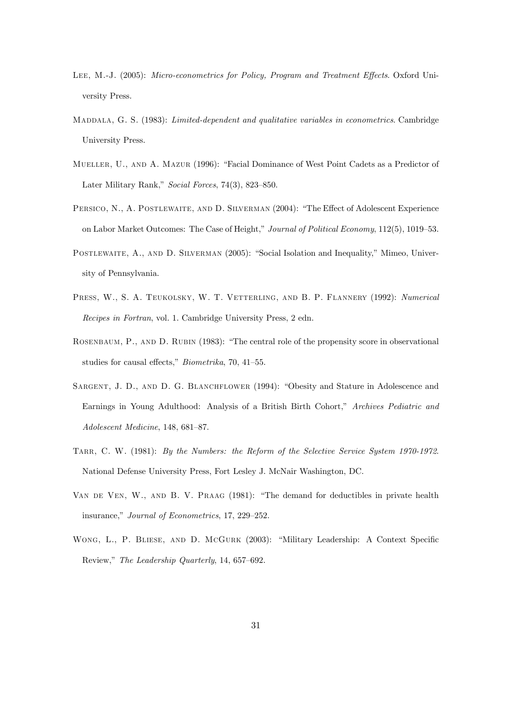- LEE, M.-J. (2005): Micro-econometrics for Policy, Program and Treatment Effects. Oxford University Press.
- MADDALA, G. S. (1983): Limited-dependent and qualitative variables in econometrics. Cambridge University Press.
- MUELLER, U., AND A. MAZUR (1996): "Facial Dominance of West Point Cadets as a Predictor of Later Military Rank," Social Forces, 74(3), 823-850.
- PERSICO, N., A. POSTLEWAITE, AND D. SILVERMAN (2004): "The Effect of Adolescent Experience on Labor Market Outcomes: The Case of Height," Journal of Political Economy, 112(5), 1019-53.
- POSTLEWAITE, A., AND D. SILVERMAN (2005): "Social Isolation and Inequality," Mimeo, University of Pennsylvania.
- PRESS, W., S. A. TEUKOLSKY, W. T. VETTERLING, AND B. P. FLANNERY (1992): Numerical Recipes in Fortran, vol. 1. Cambridge University Press, 2 edn.
- ROSENBAUM, P., AND D. RUBIN (1983): "The central role of the propensity score in observational studies for causal effects,"  $Biometrika$ , 70, 41–55.
- SARGENT, J. D., AND D. G. BLANCHFLOWER (1994): "Obesity and Stature in Adolescence and Earnings in Young Adulthood: Analysis of a British Birth Cohort," Archives Pediatric and  $Adolescent Medicine$ , 148, 681-87.
- TARR, C. W. (1981): By the Numbers: the Reform of the Selective Service System 1970-1972. National Defense University Press, Fort Lesley J. McNair Washington, DC.
- VAN DE VEN, W., AND B. V. PRAAG (1981): "The demand for deductibles in private health insurance," Journal of Econometrics, 17, 229–252.
- WONG, L., P. BLIESE, AND D. McGURK (2003): "Military Leadership: A Context Specific Review," The Leadership Quarterly, 14, 657–692.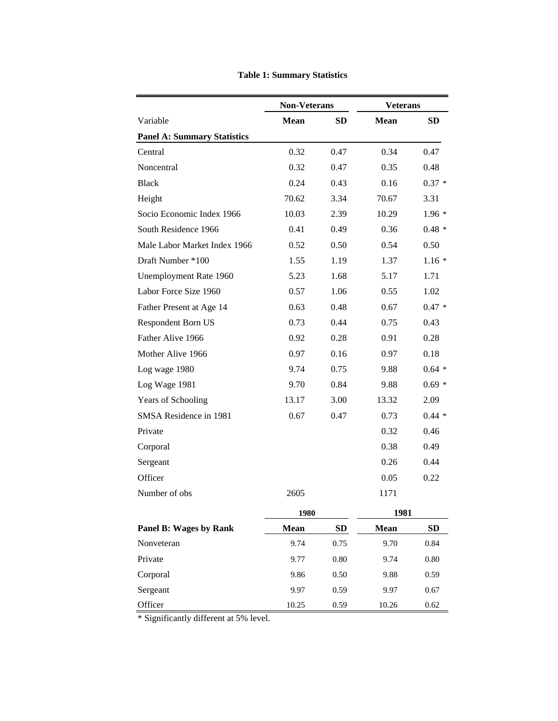|                                    | <b>Non-Veterans</b> |           | <b>Veterans</b> |           |
|------------------------------------|---------------------|-----------|-----------------|-----------|
| Variable                           | <b>Mean</b>         | <b>SD</b> | <b>Mean</b>     | <b>SD</b> |
| <b>Panel A: Summary Statistics</b> |                     |           |                 |           |
| Central                            | 0.32                | 0.47      | 0.34            | 0.47      |
| Noncentral                         | 0.32                | 0.47      | 0.35            | 0.48      |
| <b>Black</b>                       | 0.24                | 0.43      | 0.16            | $0.37 *$  |
| Height                             | 70.62               | 3.34      | 70.67           | 3.31      |
| Socio Economic Index 1966          | 10.03               | 2.39      | 10.29           | $1.96*$   |
| South Residence 1966               | 0.41                | 0.49      | 0.36            | $0.48 *$  |
| Male Labor Market Index 1966       | 0.52                | 0.50      | 0.54            | 0.50      |
| Draft Number *100                  | 1.55                | 1.19      | 1.37            | $1.16*$   |
| Unemployment Rate 1960             | 5.23                | 1.68      | 5.17            | 1.71      |
| Labor Force Size 1960              | 0.57                | 1.06      | 0.55            | 1.02      |
| Father Present at Age 14           | 0.63                | 0.48      | 0.67            | $0.47 *$  |
| Respondent Born US                 | 0.73                | 0.44      | 0.75            | 0.43      |
| Father Alive 1966                  | 0.92                | 0.28      | 0.91            | 0.28      |
| Mother Alive 1966                  | 0.97                | 0.16      | 0.97            | 0.18      |
| Log wage 1980                      | 9.74                | 0.75      | 9.88            | $0.64 *$  |
| Log Wage 1981                      | 9.70                | 0.84      | 9.88            | $0.69*$   |
| Years of Schooling                 | 13.17               | 3.00      | 13.32           | 2.09      |
| SMSA Residence in 1981             | 0.67                | 0.47      | 0.73            | $0.44*$   |
| Private                            |                     |           | 0.32            | 0.46      |
| Corporal                           |                     |           | 0.38            | 0.49      |
| Sergeant                           |                     |           | 0.26            | 0.44      |
| Officer                            |                     |           | 0.05            | 0.22      |
| Number of obs                      | 2605                |           | 1171            |           |
|                                    | 1980                |           | 1981            |           |
| Panel B: Wages by Rank             | Mean                | SD        | <b>Mean</b>     | <b>SD</b> |
| Nonveteran                         | 9.74                | 0.75      | 9.70            | 0.84      |
| Private                            | 9.77                | $0.80\,$  | 9.74            | $0.80\,$  |
| Corporal                           | 9.86                | 0.50      | 9.88            | 0.59      |
| Sergeant                           | 9.97                | 0.59      | 9.97            | 0.67      |
| Officer                            | 10.25               | 0.59      | 10.26           | 0.62      |

**Table 1: Summary Statistics**

\* Significantly different at 5% level.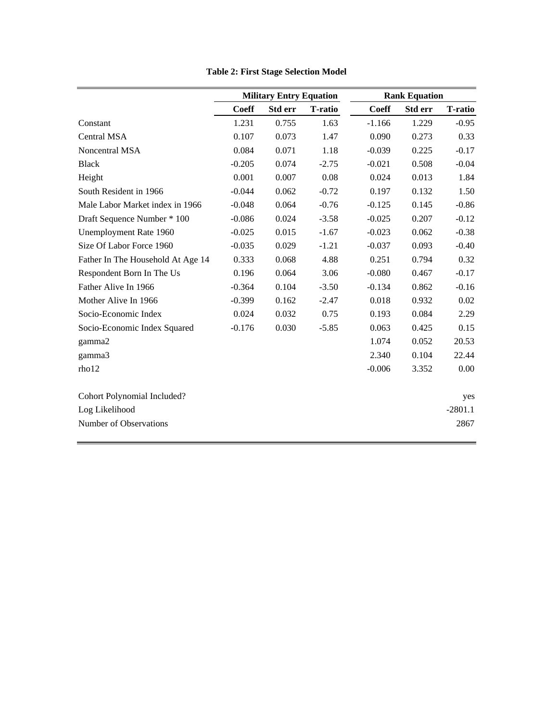|                                   |              | <b>Military Entry Equation</b> |                |              | <b>Rank Equation</b> |                |
|-----------------------------------|--------------|--------------------------------|----------------|--------------|----------------------|----------------|
|                                   | <b>Coeff</b> | Std err                        | <b>T-ratio</b> | <b>Coeff</b> | <b>Std err</b>       | <b>T-ratio</b> |
| Constant                          | 1.231        | 0.755                          | 1.63           | $-1.166$     | 1.229                | $-0.95$        |
| <b>Central MSA</b>                | 0.107        | 0.073                          | 1.47           | 0.090        | 0.273                | 0.33           |
| Noncentral MSA                    | 0.084        | 0.071                          | 1.18           | $-0.039$     | 0.225                | $-0.17$        |
| <b>Black</b>                      | $-0.205$     | 0.074                          | $-2.75$        | $-0.021$     | 0.508                | $-0.04$        |
| Height                            | 0.001        | 0.007                          | 0.08           | 0.024        | 0.013                | 1.84           |
| South Resident in 1966            | $-0.044$     | 0.062                          | $-0.72$        | 0.197        | 0.132                | 1.50           |
| Male Labor Market index in 1966   | $-0.048$     | 0.064                          | $-0.76$        | $-0.125$     | 0.145                | $-0.86$        |
| Draft Sequence Number * 100       | $-0.086$     | 0.024                          | $-3.58$        | $-0.025$     | 0.207                | $-0.12$        |
| Unemployment Rate 1960            | $-0.025$     | 0.015                          | $-1.67$        | $-0.023$     | 0.062                | $-0.38$        |
| Size Of Labor Force 1960          | $-0.035$     | 0.029                          | $-1.21$        | $-0.037$     | 0.093                | $-0.40$        |
| Father In The Household At Age 14 | 0.333        | 0.068                          | 4.88           | 0.251        | 0.794                | 0.32           |
| Respondent Born In The Us         | 0.196        | 0.064                          | 3.06           | $-0.080$     | 0.467                | $-0.17$        |
| Father Alive In 1966              | $-0.364$     | 0.104                          | $-3.50$        | $-0.134$     | 0.862                | $-0.16$        |
| Mother Alive In 1966              | $-0.399$     | 0.162                          | $-2.47$        | 0.018        | 0.932                | 0.02           |
| Socio-Economic Index              | 0.024        | 0.032                          | 0.75           | 0.193        | 0.084                | 2.29           |
| Socio-Economic Index Squared      | $-0.176$     | 0.030                          | $-5.85$        | 0.063        | 0.425                | 0.15           |
| gamma2                            |              |                                |                | 1.074        | 0.052                | 20.53          |
| gamma3                            |              |                                |                | 2.340        | 0.104                | 22.44          |
| rho12                             |              |                                |                | $-0.006$     | 3.352                | 0.00           |
| Cohort Polynomial Included?       |              |                                |                |              |                      | yes            |
| Log Likelihood                    |              |                                |                |              |                      | $-2801.1$      |
| Number of Observations            |              |                                |                |              |                      | 2867           |

**Table 2: First Stage Selection Model**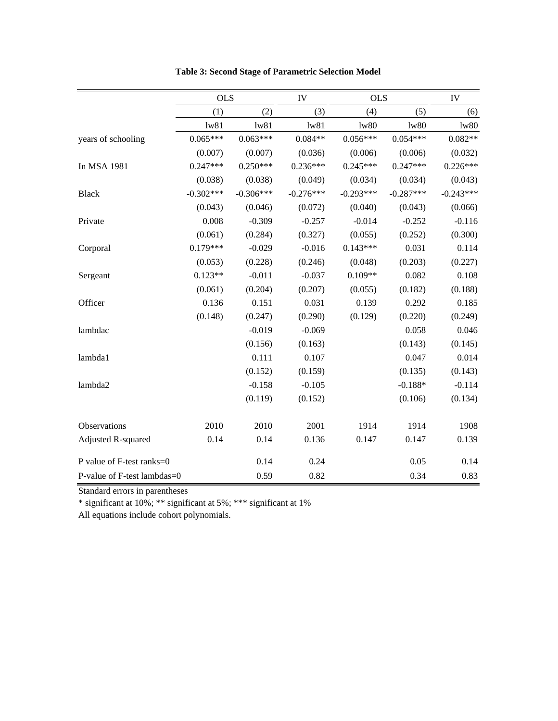|                             | <b>OLS</b>        |             | IV          | <b>OLS</b>  |             | IV          |
|-----------------------------|-------------------|-------------|-------------|-------------|-------------|-------------|
|                             | (1)               | (2)         | (3)         | (4)         | (5)         | (6)         |
|                             | 1 <sub>w</sub> 81 | 1w81        | 1w81        | 1w80        | 1w80        | 1w80        |
| years of schooling          | $0.065***$        | $0.063***$  | $0.084**$   | $0.056***$  | $0.054***$  | $0.082**$   |
|                             | (0.007)           | (0.007)     | (0.036)     | (0.006)     | (0.006)     | (0.032)     |
| In MSA 1981                 | $0.247***$        | $0.250***$  | $0.236***$  | $0.245***$  | $0.247***$  | $0.226***$  |
|                             | (0.038)           | (0.038)     | (0.049)     | (0.034)     | (0.034)     | (0.043)     |
| <b>Black</b>                | $-0.302***$       | $-0.306***$ | $-0.276***$ | $-0.293***$ | $-0.287***$ | $-0.243***$ |
|                             | (0.043)           | (0.046)     | (0.072)     | (0.040)     | (0.043)     | (0.066)     |
| Private                     | 0.008             | $-0.309$    | $-0.257$    | $-0.014$    | $-0.252$    | $-0.116$    |
|                             | (0.061)           | (0.284)     | (0.327)     | (0.055)     | (0.252)     | (0.300)     |
| Corporal                    | $0.179***$        | $-0.029$    | $-0.016$    | $0.143***$  | 0.031       | 0.114       |
|                             | (0.053)           | (0.228)     | (0.246)     | (0.048)     | (0.203)     | (0.227)     |
| Sergeant                    | $0.123**$         | $-0.011$    | $-0.037$    | $0.109**$   | 0.082       | 0.108       |
|                             | (0.061)           | (0.204)     | (0.207)     | (0.055)     | (0.182)     | (0.188)     |
| Officer                     | 0.136             | 0.151       | 0.031       | 0.139       | 0.292       | 0.185       |
|                             | (0.148)           | (0.247)     | (0.290)     | (0.129)     | (0.220)     | (0.249)     |
| lambdac                     |                   | $-0.019$    | $-0.069$    |             | 0.058       | 0.046       |
|                             |                   | (0.156)     | (0.163)     |             | (0.143)     | (0.145)     |
| lambda1                     |                   | 0.111       | 0.107       |             | 0.047       | 0.014       |
|                             |                   | (0.152)     | (0.159)     |             | (0.135)     | (0.143)     |
| lambda2                     |                   | $-0.158$    | $-0.105$    |             | $-0.188*$   | $-0.114$    |
|                             |                   | (0.119)     | (0.152)     |             | (0.106)     | (0.134)     |
| Observations                | 2010              | 2010        | 2001        | 1914        | 1914        | 1908        |
| Adjusted R-squared          | 0.14              | 0.14        | 0.136       | 0.147       | 0.147       | 0.139       |
| P value of F-test ranks=0   |                   | 0.14        | 0.24        |             | 0.05        | 0.14        |
| P-value of F-test lambdas=0 |                   | 0.59        | 0.82        |             | 0.34        | 0.83        |

**Table 3: Second Stage of Parametric Selection Model**

Standard errors in parentheses

\* significant at 10%; \*\* significant at 5%; \*\*\* significant at 1%

All equations include cohort polynomials.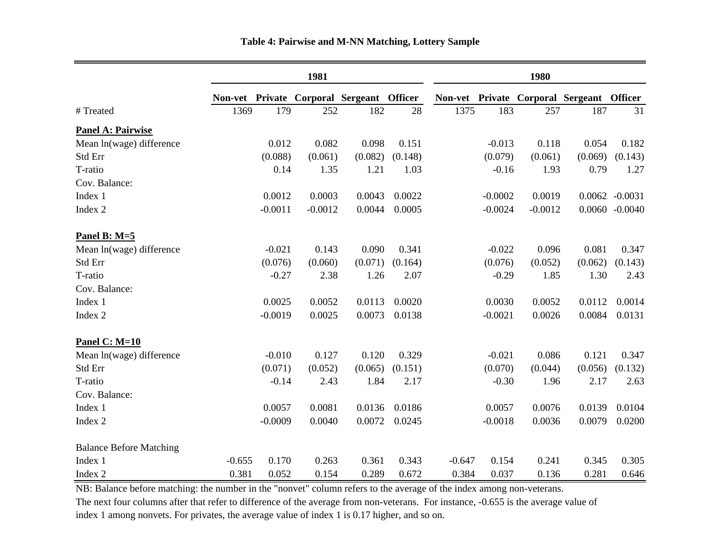|                                |          | 1981      |           |                                           |         |          |           | 1980      |                                           |                   |  |  |
|--------------------------------|----------|-----------|-----------|-------------------------------------------|---------|----------|-----------|-----------|-------------------------------------------|-------------------|--|--|
|                                |          |           |           | Non-vet Private Corporal Sergeant Officer |         |          |           |           | Non-vet Private Corporal Sergeant Officer |                   |  |  |
| # Treated                      | 1369     | 179       | 252       | 182                                       | 28      | 1375     | 183       | 257       | 187                                       | 31                |  |  |
| <b>Panel A: Pairwise</b>       |          |           |           |                                           |         |          |           |           |                                           |                   |  |  |
| Mean ln(wage) difference       |          | 0.012     | 0.082     | 0.098                                     | 0.151   |          | $-0.013$  | 0.118     | 0.054                                     | 0.182             |  |  |
| Std Err                        |          | (0.088)   | (0.061)   | (0.082)                                   | (0.148) |          | (0.079)   | (0.061)   | (0.069)                                   | (0.143)           |  |  |
| T-ratio                        |          | 0.14      | 1.35      | 1.21                                      | 1.03    |          | $-0.16$   | 1.93      | 0.79                                      | 1.27              |  |  |
| Cov. Balance:                  |          |           |           |                                           |         |          |           |           |                                           |                   |  |  |
| Index 1                        |          | 0.0012    | 0.0003    | 0.0043                                    | 0.0022  |          | $-0.0002$ | 0.0019    |                                           | $0.0062 - 0.0031$ |  |  |
| Index 2                        |          | $-0.0011$ | $-0.0012$ | 0.0044                                    | 0.0005  |          | $-0.0024$ | $-0.0012$ |                                           | $0.0060 - 0.0040$ |  |  |
| Panel B: $M=5$                 |          |           |           |                                           |         |          |           |           |                                           |                   |  |  |
| Mean ln(wage) difference       |          | $-0.021$  | 0.143     | 0.090                                     | 0.341   |          | $-0.022$  | 0.096     | 0.081                                     | 0.347             |  |  |
| Std Err                        |          | (0.076)   | (0.060)   | (0.071)                                   | (0.164) |          | (0.076)   | (0.052)   | (0.062)                                   | (0.143)           |  |  |
| T-ratio                        |          | $-0.27$   | 2.38      | 1.26                                      | 2.07    |          | $-0.29$   | 1.85      | 1.30                                      | 2.43              |  |  |
| Cov. Balance:                  |          |           |           |                                           |         |          |           |           |                                           |                   |  |  |
| Index 1                        |          | 0.0025    | 0.0052    | 0.0113                                    | 0.0020  |          | 0.0030    | 0.0052    | 0.0112                                    | 0.0014            |  |  |
| Index 2                        |          | $-0.0019$ | 0.0025    | 0.0073                                    | 0.0138  |          | $-0.0021$ | 0.0026    | 0.0084                                    | 0.0131            |  |  |
| Panel C: $M=10$                |          |           |           |                                           |         |          |           |           |                                           |                   |  |  |
| Mean ln(wage) difference       |          | $-0.010$  | 0.127     | 0.120                                     | 0.329   |          | $-0.021$  | 0.086     | 0.121                                     | 0.347             |  |  |
| Std Err                        |          | (0.071)   | (0.052)   | (0.065)                                   | (0.151) |          | (0.070)   | (0.044)   | (0.056)                                   | (0.132)           |  |  |
| T-ratio                        |          | $-0.14$   | 2.43      | 1.84                                      | 2.17    |          | $-0.30$   | 1.96      | 2.17                                      | 2.63              |  |  |
| Cov. Balance:                  |          |           |           |                                           |         |          |           |           |                                           |                   |  |  |
| Index 1                        |          | 0.0057    | 0.0081    | 0.0136                                    | 0.0186  |          | 0.0057    | 0.0076    | 0.0139                                    | 0.0104            |  |  |
| Index 2                        |          | $-0.0009$ | 0.0040    | 0.0072                                    | 0.0245  |          | $-0.0018$ | 0.0036    | 0.0079                                    | 0.0200            |  |  |
| <b>Balance Before Matching</b> |          |           |           |                                           |         |          |           |           |                                           |                   |  |  |
| Index 1                        | $-0.655$ | 0.170     | 0.263     | 0.361                                     | 0.343   | $-0.647$ | 0.154     | 0.241     | 0.345                                     | 0.305             |  |  |
| Index 2                        | 0.381    | 0.052     | 0.154     | 0.289                                     | 0.672   | 0.384    | 0.037     | 0.136     | 0.281                                     | 0.646             |  |  |

NB: Balance before matching: the number in the "nonvet" column refers to the average of the index among non-veterans.

The next four columns after that refer to difference of the average from non-veterans. For instance, -0.655 is the average value of index 1 among nonvets. For privates, the average value of index 1 is 0.17 higher, and so on.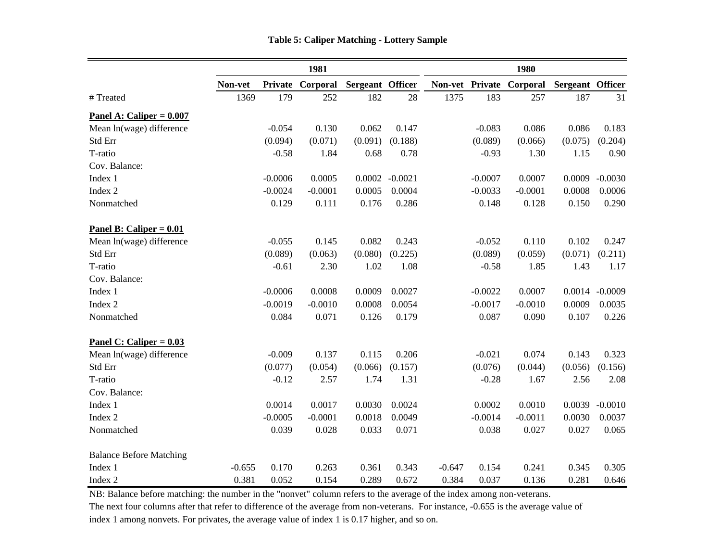|                                             |          | 1981      |           |                  |                   |          |           | 1980                     |                  |           |  |  |
|---------------------------------------------|----------|-----------|-----------|------------------|-------------------|----------|-----------|--------------------------|------------------|-----------|--|--|
|                                             | Non-vet  | Private   | Corporal  | Sergeant Officer |                   |          |           | Non-vet Private Corporal | Sergeant Officer |           |  |  |
| #Treated                                    | 1369     | 179       | 252       | 182              | 28                | 1375     | 183       | 257                      | 187              | 31        |  |  |
| Panel A: Caliper = $0.007$                  |          |           |           |                  |                   |          |           |                          |                  |           |  |  |
| Mean ln(wage) difference                    |          | $-0.054$  | 0.130     | 0.062            | 0.147             |          | $-0.083$  | 0.086                    | 0.086            | 0.183     |  |  |
| Std Err                                     |          | (0.094)   | (0.071)   | (0.091)          | (0.188)           |          | (0.089)   | (0.066)                  | (0.075)          | (0.204)   |  |  |
| T-ratio                                     |          | $-0.58$   | 1.84      | 0.68             | 0.78              |          | $-0.93$   | 1.30                     | 1.15             | 0.90      |  |  |
| Cov. Balance:                               |          |           |           |                  |                   |          |           |                          |                  |           |  |  |
| Index 1                                     |          | $-0.0006$ | 0.0005    |                  | $0.0002 - 0.0021$ |          | $-0.0007$ | 0.0007                   | 0.0009           | $-0.0030$ |  |  |
| Index 2                                     |          | $-0.0024$ | $-0.0001$ | 0.0005           | 0.0004            |          | $-0.0033$ | $-0.0001$                | 0.0008           | 0.0006    |  |  |
| Nonmatched                                  |          | 0.129     | 0.111     | 0.176            | 0.286             |          | 0.148     | 0.128                    | 0.150            | 0.290     |  |  |
| <b>Panel B: Caliper = <math>0.01</math></b> |          |           |           |                  |                   |          |           |                          |                  |           |  |  |
| Mean ln(wage) difference                    |          | $-0.055$  | 0.145     | 0.082            | 0.243             |          | $-0.052$  | 0.110                    | 0.102            | 0.247     |  |  |
| Std Err                                     |          | (0.089)   | (0.063)   | (0.080)          | (0.225)           |          | (0.089)   | (0.059)                  | (0.071)          | (0.211)   |  |  |
| T-ratio                                     |          | $-0.61$   | 2.30      | 1.02             | 1.08              |          | $-0.58$   | 1.85                     | 1.43             | 1.17      |  |  |
| Cov. Balance:                               |          |           |           |                  |                   |          |           |                          |                  |           |  |  |
| Index 1                                     |          | $-0.0006$ | 0.0008    | 0.0009           | 0.0027            |          | $-0.0022$ | 0.0007                   | 0.0014           | $-0.0009$ |  |  |
| Index 2                                     |          | $-0.0019$ | $-0.0010$ | 0.0008           | 0.0054            |          | $-0.0017$ | $-0.0010$                | 0.0009           | 0.0035    |  |  |
| Nonmatched                                  |          | 0.084     | 0.071     | 0.126            | 0.179             |          | 0.087     | 0.090                    | 0.107            | 0.226     |  |  |
| Panel C: Caliper = $0.03$                   |          |           |           |                  |                   |          |           |                          |                  |           |  |  |
| Mean ln(wage) difference                    |          | $-0.009$  | 0.137     | 0.115            | 0.206             |          | $-0.021$  | 0.074                    | 0.143            | 0.323     |  |  |
| Std Err                                     |          | (0.077)   | (0.054)   | (0.066)          | (0.157)           |          | (0.076)   | (0.044)                  | (0.056)          | (0.156)   |  |  |
| T-ratio                                     |          | $-0.12$   | 2.57      | 1.74             | 1.31              |          | $-0.28$   | 1.67                     | 2.56             | 2.08      |  |  |
| Cov. Balance:                               |          |           |           |                  |                   |          |           |                          |                  |           |  |  |
| Index 1                                     |          | 0.0014    | 0.0017    | 0.0030           | 0.0024            |          | 0.0002    | 0.0010                   | 0.0039           | $-0.0010$ |  |  |
| Index 2                                     |          | $-0.0005$ | $-0.0001$ | 0.0018           | 0.0049            |          | $-0.0014$ | $-0.0011$                | 0.0030           | 0.0037    |  |  |
| Nonmatched                                  |          | 0.039     | 0.028     | 0.033            | 0.071             |          | 0.038     | 0.027                    | 0.027            | 0.065     |  |  |
| <b>Balance Before Matching</b>              |          |           |           |                  |                   |          |           |                          |                  |           |  |  |
| Index 1                                     | $-0.655$ | 0.170     | 0.263     | 0.361            | 0.343             | $-0.647$ | 0.154     | 0.241                    | 0.345            | 0.305     |  |  |
| Index 2                                     | 0.381    | 0.052     | 0.154     | 0.289            | 0.672             | 0.384    | 0.037     | 0.136                    | 0.281            | 0.646     |  |  |

NB: Balance before matching: the number in the "nonvet" column refers to the average of the index among non-veterans.

The next four columns after that refer to difference of the average from non-veterans. For instance, -0.655 is the average value of index 1 among nonvets. For privates, the average value of index 1 is 0.17 higher, and so on.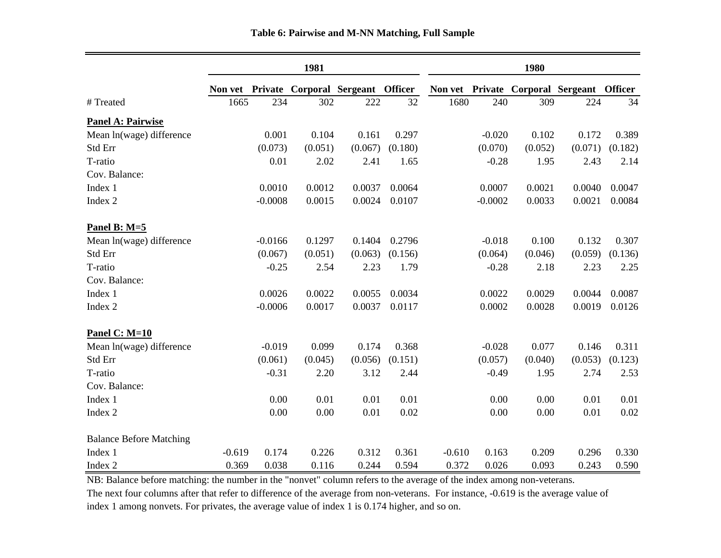|                                |          |           | 1981    |                                   |         | 1980     |           |         |                                           |         |
|--------------------------------|----------|-----------|---------|-----------------------------------|---------|----------|-----------|---------|-------------------------------------------|---------|
|                                | Non vet  |           |         | Private Corporal Sergeant Officer |         |          |           |         | Non vet Private Corporal Sergeant Officer |         |
| # Treated                      | 1665     | 234       | 302     | 222                               | 32      | 1680     | 240       | 309     | 224                                       | 34      |
| <b>Panel A: Pairwise</b>       |          |           |         |                                   |         |          |           |         |                                           |         |
| Mean ln(wage) difference       |          | 0.001     | 0.104   | 0.161                             | 0.297   |          | $-0.020$  | 0.102   | 0.172                                     | 0.389   |
| Std Err                        |          | (0.073)   | (0.051) | (0.067)                           | (0.180) |          | (0.070)   | (0.052) | (0.071)                                   | (0.182) |
| T-ratio                        |          | 0.01      | 2.02    | 2.41                              | 1.65    |          | $-0.28$   | 1.95    | 2.43                                      | 2.14    |
| Cov. Balance:                  |          |           |         |                                   |         |          |           |         |                                           |         |
| Index 1                        |          | 0.0010    | 0.0012  | 0.0037                            | 0.0064  |          | 0.0007    | 0.0021  | 0.0040                                    | 0.0047  |
| Index 2                        |          | $-0.0008$ | 0.0015  | 0.0024                            | 0.0107  |          | $-0.0002$ | 0.0033  | 0.0021                                    | 0.0084  |
| Panel B: M=5                   |          |           |         |                                   |         |          |           |         |                                           |         |
| Mean ln(wage) difference       |          | $-0.0166$ | 0.1297  | 0.1404                            | 0.2796  |          | $-0.018$  | 0.100   | 0.132                                     | 0.307   |
| Std Err                        |          | (0.067)   | (0.051) | (0.063)                           | (0.156) |          | (0.064)   | (0.046) | (0.059)                                   | (0.136) |
| T-ratio                        |          | $-0.25$   | 2.54    | 2.23                              | 1.79    |          | $-0.28$   | 2.18    | 2.23                                      | 2.25    |
| Cov. Balance:                  |          |           |         |                                   |         |          |           |         |                                           |         |
| Index 1                        |          | 0.0026    | 0.0022  | 0.0055                            | 0.0034  |          | 0.0022    | 0.0029  | 0.0044                                    | 0.0087  |
| Index 2                        |          | $-0.0006$ | 0.0017  | 0.0037                            | 0.0117  |          | 0.0002    | 0.0028  | 0.0019                                    | 0.0126  |
| Panel C: $M=10$                |          |           |         |                                   |         |          |           |         |                                           |         |
| Mean ln(wage) difference       |          | $-0.019$  | 0.099   | 0.174                             | 0.368   |          | $-0.028$  | 0.077   | 0.146                                     | 0.311   |
| Std Err                        |          | (0.061)   | (0.045) | (0.056)                           | (0.151) |          | (0.057)   | (0.040) | (0.053)                                   | (0.123) |
| T-ratio                        |          | $-0.31$   | 2.20    | 3.12                              | 2.44    |          | $-0.49$   | 1.95    | 2.74                                      | 2.53    |
| Cov. Balance:                  |          |           |         |                                   |         |          |           |         |                                           |         |
| Index 1                        |          | 0.00      | 0.01    | 0.01                              | 0.01    |          | 0.00      | 0.00    | 0.01                                      | 0.01    |
| Index 2                        |          | 0.00      | 0.00    | 0.01                              | 0.02    |          | 0.00      | 0.00    | 0.01                                      | 0.02    |
| <b>Balance Before Matching</b> |          |           |         |                                   |         |          |           |         |                                           |         |
| Index 1                        | $-0.619$ | 0.174     | 0.226   | 0.312                             | 0.361   | $-0.610$ | 0.163     | 0.209   | 0.296                                     | 0.330   |
| Index 2                        | 0.369    | 0.038     | 0.116   | 0.244                             | 0.594   | 0.372    | 0.026     | 0.093   | 0.243                                     | 0.590   |

### **Table 6: Pairwise and M-NN Matching, Full Sample**

NB: Balance before matching: the number in the "nonvet" column refers to the average of the index among non-veterans.

The next four columns after that refer to difference of the average from non-veterans. For instance, -0.619 is the average value of index 1 among nonvets. For privates, the average value of index 1 is 0.174 higher, and so on.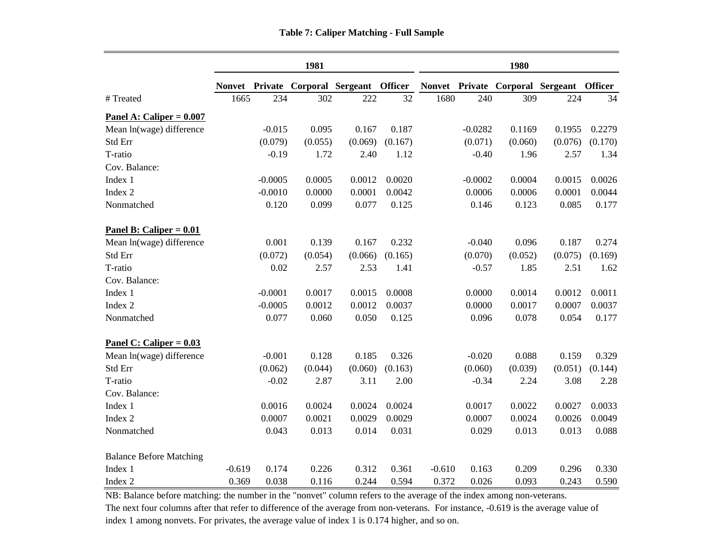|                   |      |           | 1981    |                                                                                   | 1980    |      |           |         |         |                  |
|-------------------|------|-----------|---------|-----------------------------------------------------------------------------------|---------|------|-----------|---------|---------|------------------|
|                   |      |           |         | Nonvet Private Corporal Sergeant Officer Nonvet Private Corporal Sergeant Officer |         |      |           |         |         |                  |
|                   | 1665 | 234       | 302     | 222                                                                               | 32      | 1680 | 240       | 309     | 224     | $\mathfrak{Z}$   |
| $Caliper = 0.007$ |      |           |         |                                                                                   |         |      |           |         |         |                  |
| age) difference   |      | $-0.015$  | 0.095   | 0.167                                                                             | 0.187   |      | $-0.0282$ | 0.1169  | 0.1955  | 0.227            |
|                   |      | (0.079)   | (0.055) | (0.069)                                                                           | (0.167) |      | (0.071)   | (0.060) | (0.076) | (0.170)          |
|                   |      | $-0.19$   | 1.72    | 2.40                                                                              | 1.12    |      | $-0.40$   | 1.96    | 2.57    | 1.3 <sup>5</sup> |
| nce:              |      |           |         |                                                                                   |         |      |           |         |         |                  |
|                   |      | $-0.0005$ | 0.0005  | 0.0012                                                                            | 0.0020  |      | $-0.0002$ | 0.0004  | 0.0015  | 0.002            |
|                   |      | $-0.0010$ | 0.0000  | 0.0001                                                                            | 0.0042  |      | 0.0006    | 0.0006  | 0.0001  | 0.004            |
| ed                |      | 0.120     | 0.099   | 0.077                                                                             | 0.125   |      | 0.146     | 0.123   | 0.085   | 0.17             |
|                   |      |           |         |                                                                                   |         |      |           |         |         |                  |

|                                | TOHACL   | <b>r</b> fivate |         | Corporal Sergeam | <b>OHICEL</b> |          |           | <b>NOTIVEL LETTVALE COLLEGIAL SELECTRIC</b> |         | <b>OHICE</b> |
|--------------------------------|----------|-----------------|---------|------------------|---------------|----------|-----------|---------------------------------------------|---------|--------------|
| #Treated                       | 1665     | 234             | 302     | 222              | 32            | 1680     | 240       | 309                                         | 224     | 34           |
| Panel A: Caliper = $0.007$     |          |                 |         |                  |               |          |           |                                             |         |              |
| Mean ln(wage) difference       |          | $-0.015$        | 0.095   | 0.167            | 0.187         |          | $-0.0282$ | 0.1169                                      | 0.1955  | 0.2279       |
| Std Err                        |          | (0.079)         | (0.055) | (0.069)          | (0.167)       |          | (0.071)   | (0.060)                                     | (0.076) | (0.170)      |
| T-ratio                        |          | $-0.19$         | 1.72    | 2.40             | 1.12          |          | $-0.40$   | 1.96                                        | 2.57    | 1.34         |
| Cov. Balance:                  |          |                 |         |                  |               |          |           |                                             |         |              |
| Index 1                        |          | $-0.0005$       | 0.0005  | 0.0012           | 0.0020        |          | $-0.0002$ | 0.0004                                      | 0.0015  | 0.0026       |
| Index 2                        |          | $-0.0010$       | 0.0000  | 0.0001           | 0.0042        |          | 0.0006    | 0.0006                                      | 0.0001  | 0.0044       |
| Nonmatched                     |          | 0.120           | 0.099   | 0.077            | 0.125         |          | 0.146     | 0.123                                       | 0.085   | 0.177        |
| Panel B: Caliper = $0.01$      |          |                 |         |                  |               |          |           |                                             |         |              |
| Mean ln(wage) difference       |          | 0.001           | 0.139   | 0.167            | 0.232         |          | $-0.040$  | 0.096                                       | 0.187   | 0.274        |
| Std Err                        |          | (0.072)         | (0.054) | (0.066)          | (0.165)       |          | (0.070)   | (0.052)                                     | (0.075) | (0.169)      |
| T-ratio                        |          | 0.02            | 2.57    | 2.53             | 1.41          |          | $-0.57$   | 1.85                                        | 2.51    | 1.62         |
| Cov. Balance:                  |          |                 |         |                  |               |          |           |                                             |         |              |
| Index 1                        |          | $-0.0001$       | 0.0017  | 0.0015           | 0.0008        |          | 0.0000    | 0.0014                                      | 0.0012  | 0.0011       |
| Index 2                        |          | $-0.0005$       | 0.0012  | 0.0012           | 0.0037        |          | 0.0000    | 0.0017                                      | 0.0007  | 0.0037       |
| Nonmatched                     |          | 0.077           | 0.060   | 0.050            | 0.125         |          | 0.096     | 0.078                                       | 0.054   | 0.177        |
| Panel C: Caliper = $0.03$      |          |                 |         |                  |               |          |           |                                             |         |              |
| Mean ln(wage) difference       |          | $-0.001$        | 0.128   | 0.185            | 0.326         |          | $-0.020$  | 0.088                                       | 0.159   | 0.329        |
| Std Err                        |          | (0.062)         | (0.044) | (0.060)          | (0.163)       |          | (0.060)   | (0.039)                                     | (0.051) | (0.144)      |
| T-ratio                        |          | $-0.02$         | 2.87    | 3.11             | 2.00          |          | $-0.34$   | 2.24                                        | 3.08    | 2.28         |
| Cov. Balance:                  |          |                 |         |                  |               |          |           |                                             |         |              |
| Index 1                        |          | 0.0016          | 0.0024  | 0.0024           | 0.0024        |          | 0.0017    | 0.0022                                      | 0.0027  | 0.0033       |
| Index 2                        |          | 0.0007          | 0.0021  | 0.0029           | 0.0029        |          | 0.0007    | 0.0024                                      | 0.0026  | 0.0049       |
| Nonmatched                     |          | 0.043           | 0.013   | 0.014            | 0.031         |          | 0.029     | 0.013                                       | 0.013   | 0.088        |
| <b>Balance Before Matching</b> |          |                 |         |                  |               |          |           |                                             |         |              |
| Index 1                        | $-0.619$ | 0.174           | 0.226   | 0.312            | 0.361         | $-0.610$ | 0.163     | 0.209                                       | 0.296   | 0.330        |
| Index 2                        | 0.369    | 0.038           | 0.116   | 0.244            | 0.594         | 0.372    | 0.026     | 0.093                                       | 0.243   | 0.590        |
|                                |          |                 |         |                  |               |          |           |                                             |         |              |

NB: Balance before matching: the number in the "nonvet" column refers to the average of the index among non-veterans. The next four columns after that refer to difference of the average from non-veterans. For instance, -0.619 is the average value of index 1 among nonvets. For privates, the average value of index 1 is 0.174 higher, and so on.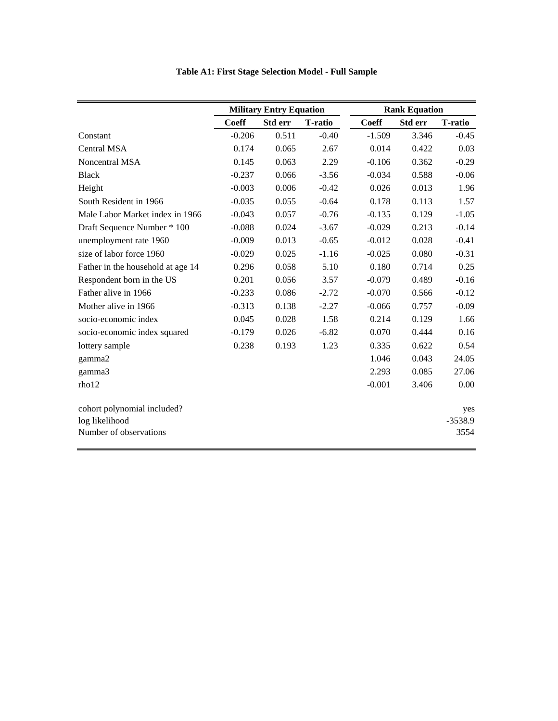| <b>Table A1: First Stage Selection Model - Full Sample</b> |
|------------------------------------------------------------|
|                                                            |

|                                   |              | <b>Military Entry Equation</b> |                |              | <b>Rank Equation</b> |                |
|-----------------------------------|--------------|--------------------------------|----------------|--------------|----------------------|----------------|
|                                   | <b>Coeff</b> | Std err                        | <b>T-ratio</b> | <b>Coeff</b> | <b>Std err</b>       | <b>T-ratio</b> |
| Constant                          | $-0.206$     | 0.511                          | $-0.40$        | $-1.509$     | 3.346                | $-0.45$        |
| <b>Central MSA</b>                | 0.174        | 0.065                          | 2.67           | 0.014        | 0.422                | 0.03           |
| Noncentral MSA                    | 0.145        | 0.063                          | 2.29           | $-0.106$     | 0.362                | $-0.29$        |
| <b>Black</b>                      | $-0.237$     | 0.066                          | $-3.56$        | $-0.034$     | 0.588                | $-0.06$        |
| Height                            | $-0.003$     | 0.006                          | $-0.42$        | 0.026        | 0.013                | 1.96           |
| South Resident in 1966            | $-0.035$     | 0.055                          | $-0.64$        | 0.178        | 0.113                | 1.57           |
| Male Labor Market index in 1966   | $-0.043$     | 0.057                          | $-0.76$        | $-0.135$     | 0.129                | $-1.05$        |
| Draft Sequence Number * 100       | $-0.088$     | 0.024                          | $-3.67$        | $-0.029$     | 0.213                | $-0.14$        |
| unemployment rate 1960            | $-0.009$     | 0.013                          | $-0.65$        | $-0.012$     | 0.028                | $-0.41$        |
| size of labor force 1960          | $-0.029$     | 0.025                          | $-1.16$        | $-0.025$     | 0.080                | $-0.31$        |
| Father in the household at age 14 | 0.296        | 0.058                          | 5.10           | 0.180        | 0.714                | 0.25           |
| Respondent born in the US         | 0.201        | 0.056                          | 3.57           | $-0.079$     | 0.489                | $-0.16$        |
| Father alive in 1966              | $-0.233$     | 0.086                          | $-2.72$        | $-0.070$     | 0.566                | $-0.12$        |
| Mother alive in 1966              | $-0.313$     | 0.138                          | $-2.27$        | $-0.066$     | 0.757                | $-0.09$        |
| socio-economic index              | 0.045        | 0.028                          | 1.58           | 0.214        | 0.129                | 1.66           |
| socio-economic index squared      | $-0.179$     | 0.026                          | $-6.82$        | 0.070        | 0.444                | 0.16           |
| lottery sample                    | 0.238        | 0.193                          | 1.23           | 0.335        | 0.622                | 0.54           |
| gamma2                            |              |                                |                | 1.046        | 0.043                | 24.05          |
| gamma3                            |              |                                |                | 2.293        | 0.085                | 27.06          |
| rho12                             |              |                                |                | $-0.001$     | 3.406                | 0.00           |
| cohort polynomial included?       |              |                                |                |              |                      | yes            |
| log likelihood                    |              |                                |                |              |                      | $-3538.9$      |
| Number of observations            |              |                                |                |              |                      | 3554           |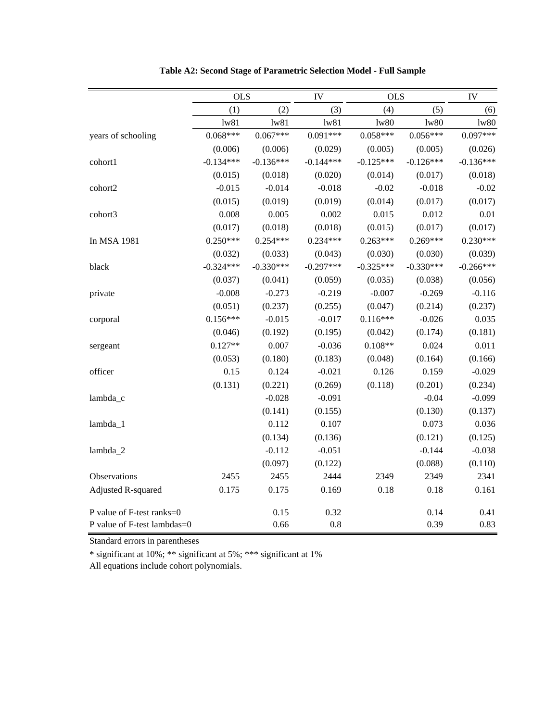|                             | <b>OLS</b>  |             | IV          | <b>OLS</b>  |             | IV          |
|-----------------------------|-------------|-------------|-------------|-------------|-------------|-------------|
|                             | (1)         | (2)         | (3)         | (4)         | (5)         | (6)         |
|                             | 1w81        | 1w81        | 1w81        | 1w80        | 1w80        | 1w80        |
| years of schooling          | $0.068***$  | $0.067***$  | $0.091***$  | $0.058***$  | $0.056***$  | $0.097***$  |
|                             | (0.006)     | (0.006)     | (0.029)     | (0.005)     | (0.005)     | (0.026)     |
| cohort1                     | $-0.134***$ | $-0.136***$ | $-0.144***$ | $-0.125***$ | $-0.126***$ | $-0.136***$ |
|                             | (0.015)     | (0.018)     | (0.020)     | (0.014)     | (0.017)     | (0.018)     |
| cohort2                     | $-0.015$    | $-0.014$    | $-0.018$    | $-0.02$     | $-0.018$    | $-0.02$     |
|                             | (0.015)     | (0.019)     | (0.019)     | (0.014)     | (0.017)     | (0.017)     |
| cohort3                     | 0.008       | 0.005       | 0.002       | 0.015       | 0.012       | 0.01        |
|                             | (0.017)     | (0.018)     | (0.018)     | (0.015)     | (0.017)     | (0.017)     |
| In MSA 1981                 | $0.250***$  | $0.254***$  | $0.234***$  | $0.263***$  | $0.269***$  | $0.230***$  |
|                             | (0.032)     | (0.033)     | (0.043)     | (0.030)     | (0.030)     | (0.039)     |
| black                       | $-0.324***$ | $-0.330***$ | $-0.297***$ | $-0.325***$ | $-0.330***$ | $-0.266***$ |
|                             | (0.037)     | (0.041)     | (0.059)     | (0.035)     | (0.038)     | (0.056)     |
| private                     | $-0.008$    | $-0.273$    | $-0.219$    | $-0.007$    | $-0.269$    | $-0.116$    |
|                             | (0.051)     | (0.237)     | (0.255)     | (0.047)     | (0.214)     | (0.237)     |
| corporal                    | $0.156***$  | $-0.015$    | $-0.017$    | $0.116***$  | $-0.026$    | 0.035       |
|                             | (0.046)     | (0.192)     | (0.195)     | (0.042)     | (0.174)     | (0.181)     |
| sergeant                    | $0.127**$   | 0.007       | $-0.036$    | $0.108**$   | 0.024       | 0.011       |
|                             | (0.053)     | (0.180)     | (0.183)     | (0.048)     | (0.164)     | (0.166)     |
| officer                     | 0.15        | 0.124       | $-0.021$    | 0.126       | 0.159       | $-0.029$    |
|                             | (0.131)     | (0.221)     | (0.269)     | (0.118)     | (0.201)     | (0.234)     |
| lambda_c                    |             | $-0.028$    | $-0.091$    |             | $-0.04$     | $-0.099$    |
|                             |             | (0.141)     | (0.155)     |             | (0.130)     | (0.137)     |
| lambda_1                    |             | 0.112       | 0.107       |             | 0.073       | 0.036       |
|                             |             | (0.134)     | (0.136)     |             | (0.121)     | (0.125)     |
| lambda_2                    |             | $-0.112$    | $-0.051$    |             | $-0.144$    | $-0.038$    |
|                             |             | (0.097)     | (0.122)     |             | (0.088)     | (0.110)     |
| Observations                | 2455        | 2455        | 2444        | 2349        | 2349        | 2341        |
| <b>Adjusted R-squared</b>   | 0.175       | 0.175       | 0.169       | 0.18        | 0.18        | 0.161       |
| P value of F-test ranks=0   |             | 0.15        | 0.32        |             | 0.14        | 0.41        |
| P value of F-test lambdas=0 |             | 0.66        | 0.8         |             | 0.39        | 0.83        |

**Table A2: Second Stage of Parametric Selection Model - Full Sample**

Standard errors in parentheses

\* significant at 10%; \*\* significant at 5%; \*\*\* significant at 1%

All equations include cohort polynomials.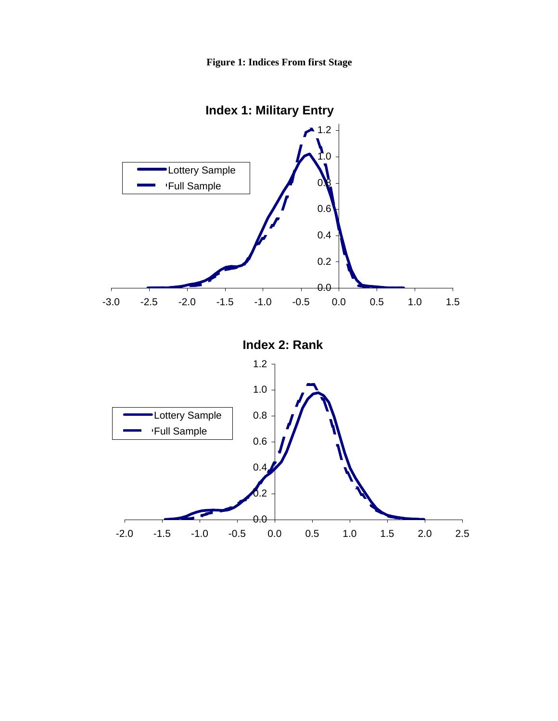